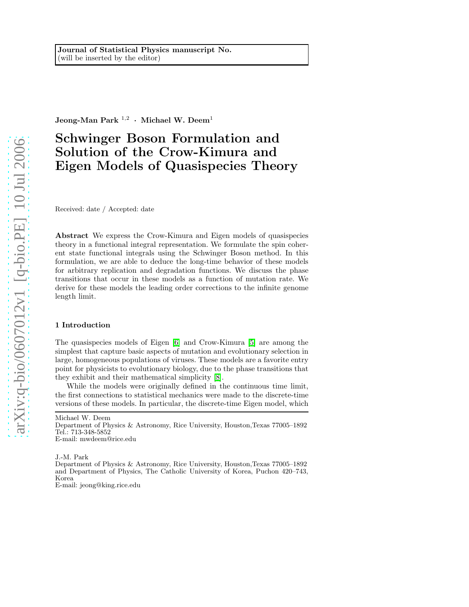Jeong-Man Park  $^{1,2}$   $\cdot$  Michael W. Deem $^1$ 

# Schwinger Boson Formulation and Solution of the Crow-Kimura and Eigen Models of Quasispecies Theory

Received: date / Accepted: date

Abstract We express the Crow-Kimura and Eigen models of quasispecies theory in a functional integral representation. We formulate the spin coherent state functional integrals using the Schwinger Boson method. In this formulation, we are able to deduce the long-time behavior of these models for arbitrary replication and degradation functions. We discuss the phase transitions that occur in these models as a function of mutation rate. We derive for these models the leading order corrections to the infinite genome length limit.

## 1 Introduction

The quasispecies models of Eigen [\[6\]](#page-22-0) and Crow-Kimura [\[5\]](#page-22-1) are among the simplest that capture basic aspects of mutation and evolutionary selection in large, homogeneous populations of viruses. These models are a favorite entry point for physicists to evolutionary biology, due to the phase transitions that they exhibit and their mathematical simplicity [\[8\]](#page-23-0).

While the models were originally defined in the continuous time limit, the first connections to statistical mechanics were made to the discrete-time versions of these models. In particular, the discrete-time Eigen model, which

Michael W. Deem Department of Physics & Astronomy, Rice University, Houston,Texas 77005–1892 Tel.: 713-348-5852 E-mail: mwdeem@rice.edu

J.-M. Park

Department of Physics & Astronomy, Rice University, Houston,Texas 77005–1892 and Department of Physics, The Catholic University of Korea, Puchon 420–743, Korea E-mail: jeong@king.rice.edu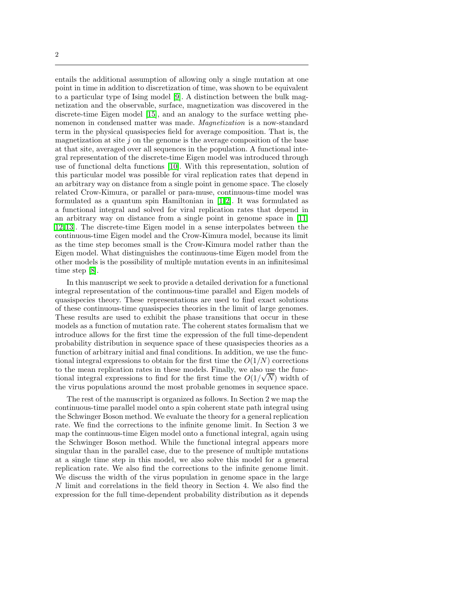entails the additional assumption of allowing only a single mutation at one point in time in addition to discretization of time, was shown to be equivalent to a particular type of Ising model [\[9\]](#page-23-1). A distinction between the bulk magnetization and the observable, surface, magnetization was discovered in the discrete-time Eigen model [\[15\]](#page-23-2), and an analogy to the surface wetting phenomenon in condensed matter was made. Magnetization is a now-standard term in the physical quasispecies field for average composition. That is, the magnetization at site  $j$  on the genome is the average composition of the base at that site, averaged over all sequences in the population. A functional integral representation of the discrete-time Eigen model was introduced through use of functional delta functions [\[10\]](#page-23-3). With this representation, solution of this particular model was possible for viral replication rates that depend in an arbitrary way on distance from a single point in genome space. The closely related Crow-Kimura, or parallel or para-muse, continuous-time model was formulated as a quantum spin Hamiltonian in [\[1,](#page-22-2)[2\]](#page-22-3). It was formulated as a functional integral and solved for viral replication rates that depend in an arbitrary way on distance from a single point in genome space in [\[11,](#page-23-4) [12,](#page-23-5)[13\]](#page-23-6). The discrete-time Eigen model in a sense interpolates between the continuous-time Eigen model and the Crow-Kimura model, because its limit as the time step becomes small is the Crow-Kimura model rather than the Eigen model. What distinguishes the continuous-time Eigen model from the other models is the possibility of multiple mutation events in an infinitesimal time step [\[8\]](#page-23-0).

In this manuscript we seek to provide a detailed derivation for a functional integral representation of the continuous-time parallel and Eigen models of quasispecies theory. These representations are used to find exact solutions of these continuous-time quasispecies theories in the limit of large genomes. These results are used to exhibit the phase transitions that occur in these models as a function of mutation rate. The coherent states formalism that we introduce allows for the first time the expression of the full time-dependent probability distribution in sequence space of these quasispecies theories as a function of arbitrary initial and final conditions. In addition, we use the functional integral expressions to obtain for the first time the  $O(1/N)$  corrections to the mean replication rates in these models. Finally, we also use the functional integral expressions to find for the first time the  $O(1/\sqrt{N})$  width of the virus populations around the most probable genomes in sequence space.

The rest of the manuscript is organized as follows. In Section 2 we map the continuous-time parallel model onto a spin coherent state path integral using the Schwinger Boson method. We evaluate the theory for a general replication rate. We find the corrections to the infinite genome limit. In Section 3 we map the continuous-time Eigen model onto a functional integral, again using the Schwinger Boson method. While the functional integral appears more singular than in the parallel case, due to the presence of multiple mutations at a single time step in this model, we also solve this model for a general replication rate. We also find the corrections to the infinite genome limit. We discuss the width of the virus population in genome space in the large N limit and correlations in the field theory in Section 4. We also find the expression for the full time-dependent probability distribution as it depends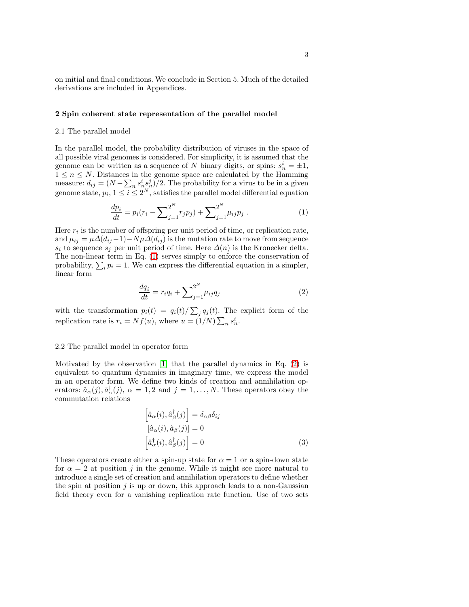on initial and final conditions. We conclude in Section 5. Much of the detailed derivations are included in Appendices.

#### 2 Spin coherent state representation of the parallel model

#### 2.1 The parallel model

In the parallel model, the probability distribution of viruses in the space of all possible viral genomes is considered. For simplicity, it is assumed that the genome can be written as a sequence of N binary digits, or spins:  $s_n^i = \pm 1$ ,  $1 \leq n \leq N$ . Distances in the genome space are calculated by the Hamming measure:  $d_{ij} = (N - \sum_n s_n^i s_n^j)/2$ . The probability for a virus to be in a given genome state,  $p_i$ ,  $1 \le i \le 2^N$ , satisfies the parallel model differential equation

$$
\frac{dp_i}{dt} = p_i(r_i - \sum_{j=1}^{2^N} r_j p_j) + \sum_{j=1}^{2^N} \mu_{ij} p_j . \tag{1}
$$

<span id="page-2-0"></span>Here  $r_i$  is the number of offspring per unit period of time, or replication rate, and  $\mu_{ij} = \mu \Delta (d_{ij} - 1) - N \mu \Delta (d_{ij})$  is the mutation rate to move from sequence  $s_i$  to sequence  $s_j$  per unit period of time. Here  $\Delta(n)$  is the Kronecker delta. The non-linear term in Eq. [\(1\)](#page-2-0) serves simply to enforce the conservation of probability,  $\sum_i p_i = 1$ . We can express the differential equation in a simpler, linear form

$$
\frac{dq_i}{dt} = r_i q_i + \sum_{j=1}^{2^N} \mu_{ij} q_j \tag{2}
$$

<span id="page-2-1"></span>with the transformation  $p_i(t) = q_i(t)/\sum_j q_j(t)$ . The explicit form of the replication rate is  $r_i = Nf(u)$ , where  $u = (1/N) \sum_n s_n^i$ .

#### 2.2 The parallel model in operator form

Motivated by the observation [\[1\]](#page-22-2) that the parallel dynamics in Eq. [\(2\)](#page-2-1) is equivalent to quantum dynamics in imaginary time, we express the model in an operator form. We define two kinds of creation and annihilation operators:  $\hat{a}_{\alpha}(j), \hat{a}_{\alpha}^{\dagger}(j), \alpha = 1, 2$  and  $j = 1, ..., N$ . These operators obey the commutation relations

$$
\begin{aligned}\n\left[\hat{a}_{\alpha}(i), \hat{a}_{\beta}^{\dagger}(j)\right] &= \delta_{\alpha\beta}\delta_{ij} \\
\left[\hat{a}_{\alpha}(i), \hat{a}_{\beta}(j)\right] &= 0 \\
\left[\hat{a}_{\alpha}^{\dagger}(i), \hat{a}_{\beta}^{\dagger}(j)\right] &= 0\n\end{aligned} \tag{3}
$$

These operators create either a spin-up state for  $\alpha = 1$  or a spin-down state for  $\alpha = 2$  at position j in the genome. While it might see more natural to introduce a single set of creation and annihilation operators to define whether the spin at position  $j$  is up or down, this approach leads to a non-Gaussian field theory even for a vanishing replication rate function. Use of two sets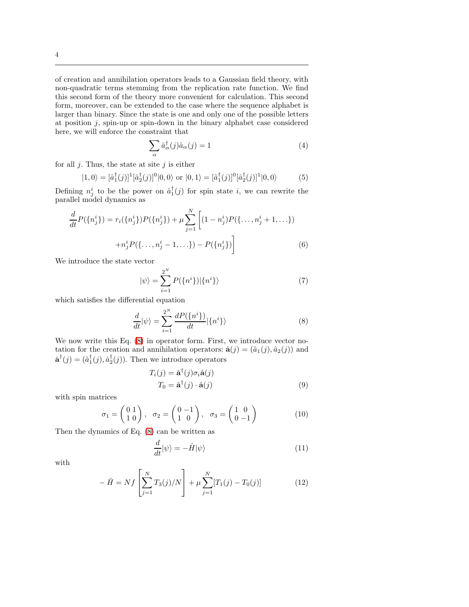of creation and annihilation operators leads to a Gaussian field theory, with non-quadratic terms stemming from the replication rate function. We find this second form of the theory more convenient for calculation. This second form, moreover, can be extended to the case where the sequence alphabet is larger than binary. Since the state is one and only one of the possible letters at position  $j$ , spin-up or spin-down in the binary alphabet case considered here, we will enforce the constraint that

$$
\sum_{\alpha} \hat{a}_{\alpha}^{\dagger}(j)\hat{a}_{\alpha}(j) = 1 \tag{4}
$$

for all  $j$ . Thus, the state at site  $j$  is either

<span id="page-3-2"></span>
$$
|1,0\rangle = [\hat{a}_1^{\dagger}(j)]^1 [\hat{a}_2^{\dagger}(j)]^0 |0,0\rangle \text{ or } |0,1\rangle = [\hat{a}_1^{\dagger}(j)]^0 [\hat{a}_2^{\dagger}(j)]^1 |0,0\rangle \tag{5}
$$

Defining  $n_j^i$  to be the power on  $\hat{a}_1^{\dagger}(j)$  for spin state i, we can rewrite the parallel model dynamics as

$$
\frac{d}{dt}P(\{n_j^i\}) = r_i(\{n_j^i\})P(\{n_j^i\}) + \mu \sum_{j=1}^N \left[ (1 - n_j^i)P(\{\dots, n_j^i + 1, \dots\}) + n_j^i P(\{\dots, n_j^i - 1, \dots\}) - P(\{n_j^i\}) \right]
$$
\n(6)

We introduce the state vector

$$
|\psi\rangle = \sum_{i=1}^{2^N} P(\{n^i\}) |\{n^i\}\rangle \tag{7}
$$

which satisfies the differential equation

$$
\frac{d}{dt}|\psi\rangle = \sum_{i=1}^{2^N} \frac{dP(\{n^i\})}{dt} |\{n^i\}\rangle
$$
\n(8)

<span id="page-3-0"></span>We now write this Eq. [\(8\)](#page-3-0) in operator form. First, we introduce vector notation for the creation and annihilation operators:  $\hat{\mathbf{a}}(j) = (\hat{a}_1(j), \hat{a}_2(j))$  and  $\hat{\mathbf{a}}^{\dagger}(j) = (\hat{a}_1^{\dagger}(j), \hat{a}_2^{\dagger}(j))$ . Then we introduce operators

$$
T_i(j) = \hat{\mathbf{a}}^\dagger(j)\sigma_i\hat{\mathbf{a}}(j)
$$
  

$$
T_0 = \hat{\mathbf{a}}^\dagger(j)\cdot\hat{\mathbf{a}}(j)
$$
 (9)

with spin matrices

$$
\sigma_1 = \begin{pmatrix} 0 & 1 \\ 1 & 0 \end{pmatrix}, \quad \sigma_2 = \begin{pmatrix} 0 & -1 \\ 1 & 0 \end{pmatrix}, \quad \sigma_3 = \begin{pmatrix} 1 & 0 \\ 0 & -1 \end{pmatrix} \tag{10}
$$

Then the dynamics of Eq. [\(8\)](#page-3-0) can be written as

$$
\frac{d}{dt}|\psi\rangle = -\hat{H}|\psi\rangle\tag{11}
$$

with

<span id="page-3-1"></span>
$$
-\hat{H} = Nf\left[\sum_{j=1}^{N} T_3(j)/N\right] + \mu \sum_{j=1}^{N} [T_1(j) - T_0(j)] \tag{12}
$$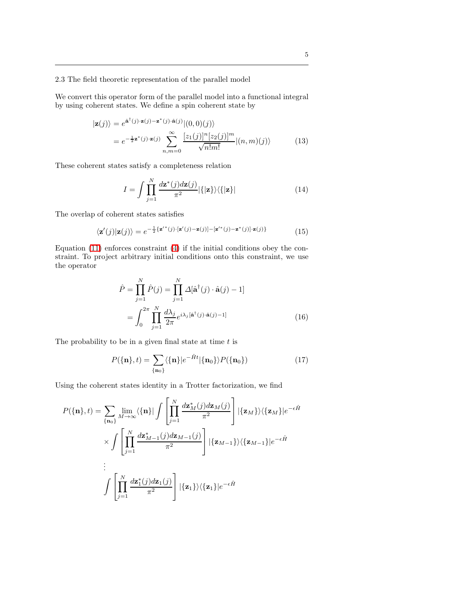2.3 The field theoretic representation of the parallel model

We convert this operator form of the parallel model into a functional integral by using coherent states. We define a spin coherent state by

$$
|\mathbf{z}(j)\rangle = e^{\hat{\mathbf{a}}^{\dagger}(j)\cdot\mathbf{z}(j) - \mathbf{z}^*(j)\cdot\hat{\mathbf{a}}(j)}|(0,0)(j)\rangle
$$
  
= 
$$
e^{-\frac{1}{2}\mathbf{z}^*(j)\cdot\mathbf{z}(j)} \sum_{n,m=0}^{\infty} \frac{[z_1(j)]^n [z_2(j)]^m}{\sqrt{n!m!}}|(n,m)(j)\rangle
$$
(13)

These coherent states satisfy a completeness relation

$$
I = \int \prod_{j=1}^{N} \frac{d\mathbf{z}^{*}(j) d\mathbf{z}(j)}{\pi^2} |\{|\mathbf{z}\}\rangle \langle \{|\mathbf{z}\}\rangle
$$
 (14)

The overlap of coherent states satisfies

$$
\langle \mathbf{z}'(j)|\mathbf{z}(j)\rangle = e^{-\frac{1}{2}\{\mathbf{z}'^*(j)\cdot[\mathbf{z}'(j)-\mathbf{z}(j)] - [\mathbf{z}'^*(j)-\mathbf{z}^*(j)]\cdot\mathbf{z}(j)\}}\tag{15}
$$

Equation [\(11\)](#page-3-1) enforces constraint [\(4\)](#page-3-2) if the initial conditions obey the constraint. To project arbitrary initial conditions onto this constraint, we use the operator

$$
\hat{P} = \prod_{j=1}^{N} \hat{P}(j) = \prod_{j=1}^{N} \Delta[\hat{\mathbf{a}}^{\dagger}(j) \cdot \hat{\mathbf{a}}(j) - 1]
$$

$$
= \int_{0}^{2\pi} \prod_{j=1}^{N} \frac{d\lambda_j}{2\pi} e^{i\lambda_j[\hat{\mathbf{a}}^{\dagger}(j) \cdot \hat{\mathbf{a}}(j) - 1]}
$$
(16)

The probability to be in a given final state at time  $t$  is

$$
P(\{\mathbf{n}\},t) = \sum_{\{\mathbf{n}_0\}} \langle \{\mathbf{n}\}|e^{-\hat{H}t}|\{\mathbf{n}_0\}\rangle P(\{\mathbf{n}_0\})
$$
(17)

Using the coherent states identity in a Trotter factorization, we find

$$
P(\{\mathbf{n}\},t) = \sum_{\{\mathbf{n}_0\}} \lim_{M \to \infty} \langle \{\mathbf{n}\} | \int \left[ \prod_{j=1}^N \frac{dz_M^*(j)dz_M(j)}{\pi^2} \right] |\{\mathbf{z}_M\}\rangle \langle \{\mathbf{z}_M\}| e^{-\epsilon \hat{H}}
$$

$$
\times \int \left[ \prod_{j=1}^N \frac{dz_{M-1}^*(j)dz_{M-1}(j)}{\pi^2} \right] |\{\mathbf{z}_{M-1}\}\rangle \langle \{\mathbf{z}_{M-1}\}| e^{-\epsilon \hat{H}}
$$

$$
\vdots
$$

$$
\int \left[ \prod_{j=1}^N \frac{dz_1^*(j)dz_1(j)}{\pi^2} \right] |\{\mathbf{z}_1\}\rangle \langle \{\mathbf{z}_1\}| e^{-\epsilon \hat{H}}
$$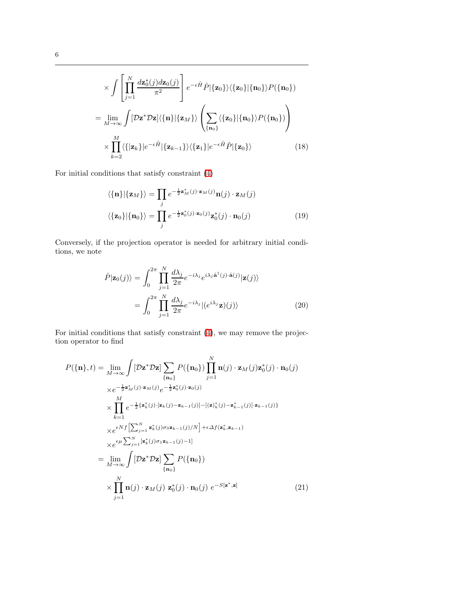$$
\times \int \left[ \prod_{j=1}^{N} \frac{d\mathbf{z}_{0}^{*}(j) d\mathbf{z}_{0}(j)}{\pi^{2}} \right] e^{-\epsilon \hat{H}} \hat{P} | \{\mathbf{z}_{0}\} \rangle \langle \{\mathbf{z}_{0}\} | \{\mathbf{n}_{0}\} \rangle P(\{\mathbf{n}_{0}\})
$$

$$
= \lim_{M \to \infty} \int [\mathcal{D}\mathbf{z}^{*} \mathcal{D}\mathbf{z}] \langle \{\mathbf{n}\} | \{\mathbf{z}_{M}\} \rangle \left( \sum_{\{\mathbf{n}_{0}\}} \langle \{\mathbf{z}_{0}\} | \{\mathbf{n}_{0}\} \rangle P(\{\mathbf{n}_{0}\}) \right)
$$

$$
\times \prod_{k=2}^{M} \langle \{|\mathbf{z}_{k}\} | e^{-\epsilon \hat{H}} | \{\mathbf{z}_{k-1}\} \rangle \langle \{\mathbf{z}_{1}\} | e^{-\epsilon \hat{H}} \hat{P} | \{\mathbf{z}_{0}\} \rangle \tag{18}
$$

For initial conditions that satisfy constraint [\(4\)](#page-3-2)

$$
\langle {\mathbf{n}} \rangle |\{ \mathbf{z}_M \} \rangle = \prod_j e^{-\frac{1}{2} \mathbf{z}_M^*(j) \cdot \mathbf{z}_M(j)} \mathbf{n}(j) \cdot \mathbf{z}_M(j)
$$

$$
\langle {\mathbf{z}_0} \rangle |\{ \mathbf{n}_0 \} \rangle = \prod_j e^{-\frac{1}{2} \mathbf{z}_0^*(j) \cdot \mathbf{z}_0(j)} \mathbf{z}_0^*(j) \cdot \mathbf{n}_0(j)
$$
(19)

<span id="page-5-0"></span>Conversely, if the projection operator is needed for arbitrary initial conditions, we note

$$
\hat{P}|\mathbf{z}_{0}(j)\rangle = \int_{0}^{2\pi} \prod_{j=1}^{N} \frac{d\lambda_{j}}{2\pi} e^{-i\lambda_{j}} e^{i\lambda_{j}\hat{\mathbf{a}}^{\dagger}(j)\cdot\hat{\mathbf{a}}(j)} |\mathbf{z}(j)\rangle
$$

$$
= \int_{0}^{2\pi} \prod_{j=1}^{N} \frac{d\lambda_{j}}{2\pi} e^{-i\lambda_{j}} |(e^{i\lambda_{j}} \mathbf{z})(j)\rangle
$$
(20)

<span id="page-5-1"></span>For initial conditions that satisfy constraint [\(4\)](#page-3-2), we may remove the projection operator to find

$$
P(\{\mathbf{n}\},t) = \lim_{M\to\infty} \int [\mathcal{D}\mathbf{z}^* \mathcal{D}\mathbf{z}] \sum_{\{\mathbf{n}\}_0\} P(\{\mathbf{n}\}_0\}) \prod_{j=1}^N \mathbf{n}(j) \cdot \mathbf{z}_M(j) \mathbf{z}_0^*(j) \cdot \mathbf{n}_0(j)
$$
  
\n
$$
\times e^{-\frac{1}{2}\mathbf{z}_M^*(j) \cdot \mathbf{z}_M(j)} e^{-\frac{1}{2}\mathbf{z}_0^*(j) \cdot \mathbf{z}_0(j)}
$$
  
\n
$$
\times \prod_{k=1}^M e^{-\frac{1}{2}\{\mathbf{z}_k^*(j) \cdot [\mathbf{z}_k(j) - \mathbf{z}_{k-1}(j)] - [(\mathbf{z})_k^*(j) - \mathbf{z}_{k-1}^*(j)]\} \cdot \mathbf{z}_{k-1}}
$$
  
\n
$$
\times e^{\epsilon N f} \left[\sum_{j=1}^N \mathbf{z}_k^*(j) \sigma_3 \mathbf{z}_{k-1}(j)/N\right] + \epsilon \Delta f(\mathbf{z}_k^*, \mathbf{z}_{k-1})
$$
  
\n
$$
\times e^{\epsilon \mu} \sum_{j=1}^N [\mathbf{z}_k^*(j) \sigma_1 \mathbf{z}_{k-1}(j) - 1]
$$
  
\n
$$
= \lim_{M\to\infty} \int [\mathcal{D}\mathbf{z}^* \mathcal{D}\mathbf{z}] \sum_{\{\mathbf{n}\}_0\} P(\{\mathbf{n}\}_0\})
$$
  
\n
$$
\times \prod_{j=1}^N \mathbf{n}(j) \cdot \mathbf{z}_M(j) \mathbf{z}_0^*(j) \cdot \mathbf{n}_0(j) e^{-S[\mathbf{z}^*, \mathbf{z}]}
$$
(21)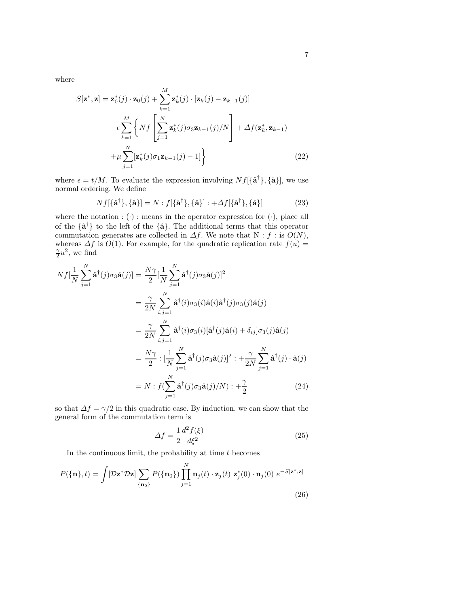<span id="page-6-0"></span>where

$$
S[\mathbf{z}^*, \mathbf{z}] = \mathbf{z}_0^*(j) \cdot \mathbf{z}_0(j) + \sum_{k=1}^M \mathbf{z}_k^*(j) \cdot [\mathbf{z}_k(j) - \mathbf{z}_{k-1}(j)]
$$
  

$$
- \epsilon \sum_{k=1}^M \left\{ Nf \left[ \sum_{j=1}^N \mathbf{z}_k^*(j) \sigma_3 \mathbf{z}_{k-1}(j)/N \right] + \Delta f(\mathbf{z}_k^*, \mathbf{z}_{k-1})
$$
  

$$
+ \mu \sum_{j=1}^N [\mathbf{z}_k^*(j) \sigma_1 \mathbf{z}_{k-1}(j) - 1] \right\}
$$
(22)

where  $\epsilon = t/M$ . To evaluate the expression involving  $Nf\{\{\hat{\mathbf{a}}^{\dagger}\},\{\hat{\mathbf{a}}\}\}\)$ , we use normal ordering. We define

$$
Nf[\{\hat{\mathbf{a}}^{\dagger}\},\{\hat{\mathbf{a}}\}] = N : f[\{\hat{\mathbf{a}}^{\dagger}\},\{\hat{\mathbf{a}}\}] : + \Delta f[\{\hat{\mathbf{a}}^{\dagger}\},\{\hat{\mathbf{a}}\}]
$$
(23)

where the notation :  $\langle \cdot \rangle$  : means in the operator expression for  $\langle \cdot \rangle$ , place all of the  $\{\hat{\mathbf{a}}\}$  to the left of the  $\{\hat{\mathbf{a}}\}$ . The additional terms that this operator commutation generates are collected in  $\Delta f$ . We note that N : f : is  $O(N)$ , whereas  $\Delta f$  is  $O(1)$ . For example, for the quadratic replication rate  $f(u) = \frac{\gamma}{2}u^2$ , we find

$$
Nf[\frac{1}{N}\sum_{j=1}^{N}\hat{\mathbf{a}}^{\dagger}(j)\sigma_{3}\hat{\mathbf{a}}(j)] = \frac{N\gamma}{2}[\frac{1}{N}\sum_{j=1}^{N}\hat{\mathbf{a}}^{\dagger}(j)\sigma_{3}\hat{\mathbf{a}}(j)]^{2}
$$
  
\n
$$
= \frac{\gamma}{2N}\sum_{i,j=1}^{N}\hat{\mathbf{a}}^{\dagger}(i)\sigma_{3}(i)\hat{\mathbf{a}}(i)\hat{\mathbf{a}}^{\dagger}(j)\sigma_{3}(j)\hat{\mathbf{a}}(j)
$$
  
\n
$$
= \frac{\gamma}{2N}\sum_{i,j=1}^{N}\hat{\mathbf{a}}^{\dagger}(i)\sigma_{3}(i)[\hat{\mathbf{a}}^{\dagger}(j)\hat{\mathbf{a}}(i) + \delta_{ij}]\sigma_{3}(j)\hat{\mathbf{a}}(j)
$$
  
\n
$$
= \frac{N\gamma}{2} : [\frac{1}{N}\sum_{j=1}^{N}\hat{\mathbf{a}}^{\dagger}(j)\sigma_{3}\hat{\mathbf{a}}(j)]^{2} : + \frac{\gamma}{2N}\sum_{j=1}^{N}\hat{\mathbf{a}}^{\dagger}(j) \cdot \hat{\mathbf{a}}(j)
$$
  
\n
$$
= N : f(\sum_{j=1}^{N}\hat{\mathbf{a}}^{\dagger}(j)\sigma_{3}\hat{\mathbf{a}}(j)/N) : + \frac{\gamma}{2}
$$
(24)

so that  $\varDelta f = \gamma/2$  in this quadratic case. By induction, we can show that the general form of the commutation term is

$$
\Delta f = \frac{1}{2} \frac{d^2 f(\xi)}{d\xi^2} \tag{25}
$$

<span id="page-6-1"></span>In the continuous limit, the probability at time  $t$  becomes

$$
P(\{\mathbf{n}\},t) = \int [\mathcal{D}\mathbf{z}^* \mathcal{D}\mathbf{z}] \sum_{\{\mathbf{n}_0\}} P(\{\mathbf{n}_0\}) \prod_{j=1}^N \mathbf{n}_j(t) \cdot \mathbf{z}_j(t) \mathbf{z}_j^*(0) \cdot \mathbf{n}_j(0) e^{-S[\mathbf{z}^*,\mathbf{z}]}
$$
\n(26)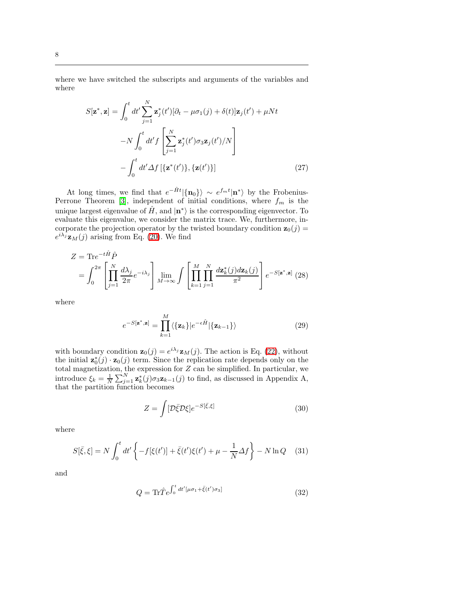where we have switched the subscripts and arguments of the variables and where

$$
S[\mathbf{z}^*, \mathbf{z}] = \int_0^t dt' \sum_{j=1}^N \mathbf{z}_j^*(t') [\partial_t - \mu \sigma_1(j) + \delta(t)] \mathbf{z}_j(t') + \mu N t
$$

$$
- N \int_0^t dt' f\left[\sum_{j=1}^N \mathbf{z}_j^*(t') \sigma_3 \mathbf{z}_j(t') / N\right]
$$

$$
- \int_0^t dt' \Delta f\left[\{\mathbf{z}^*(t')\}, \{\mathbf{z}(t')\}\right]
$$
(27)

At long times, we find that  $e^{-\hat{H}t}|\{\mathbf{n}_0\}\rangle \sim e^{f_m t}|\mathbf{n}^*\rangle$  by the Frobenius-Perrone Theorem [\[3\]](#page-22-4), independent of initial conditions, where  $f_m$  is the unique largest eigenvalue of  $\hat{H}$ , and  $|\mathbf{n}^*\rangle$  is the corresponding eigenvector. To evaluate this eigenvalue, we consider the matrix trace. We, furthermore, incorporate the projection operator by the twisted boundary condition  $z_0(j)$  =  $e^{i\lambda_j} \mathbf{z}_M(j)$  arising from Eq. [\(20\)](#page-5-0). We find

<span id="page-7-1"></span>
$$
Z = \text{Tr}e^{-t\hat{H}}\hat{P}
$$
  
= 
$$
\int_0^{2\pi} \left[ \prod_{j=1}^N \frac{d\lambda_j}{2\pi} e^{-i\lambda_j} \right] \lim_{M \to \infty} \int \left[ \prod_{k=1}^M \prod_{j=1}^N \frac{d\mathbf{z}_k^*(j) d\mathbf{z}_k(j)}{\pi^2} \right] e^{-S[\mathbf{z}^*, \mathbf{z}]} (28)
$$

where

$$
e^{-S[\mathbf{z}^*, \mathbf{z}]} = \prod_{k=1}^{M} \langle \{\mathbf{z}_k\} | e^{-\epsilon \hat{H}} | \{\mathbf{z}_{k-1}\} \rangle \tag{29}
$$

with boundary condition  $\mathbf{z}_0(j) = e^{i\lambda_j} \mathbf{z}_M(j)$ . The action is Eq. [\(22\)](#page-6-0), without the initial  $\mathbf{z}_0^*(j) \cdot \mathbf{z}_0(j)$  term. Since the replication rate depends only on the total magnetization, the expression for Z can be simplified. In particular, we introduce  $\xi_k = \frac{1}{N} \sum_{j=1}^N \mathbf{z}_k^*(j) \sigma_3 \mathbf{z}_{k-1}(j)$  to find, as discussed in Appendix A, that the partition function becomes

$$
Z = \int [\mathcal{D}\bar{\xi}\mathcal{D}\xi]e^{-S[\bar{\xi},\xi]}
$$
 (30)

<span id="page-7-0"></span>where

$$
S[\bar{\xi}, \xi] = N \int_0^t dt' \left\{ -f[\xi(t')] + \bar{\xi}(t')\xi(t') + \mu - \frac{1}{N}\Delta f \right\} - N \ln Q \quad (31)
$$

and

$$
Q = \text{Tr}\hat{T}e^{\int_0^t dt' [\mu \sigma_1 + \bar{\xi}(t')\sigma_3]} \tag{32}
$$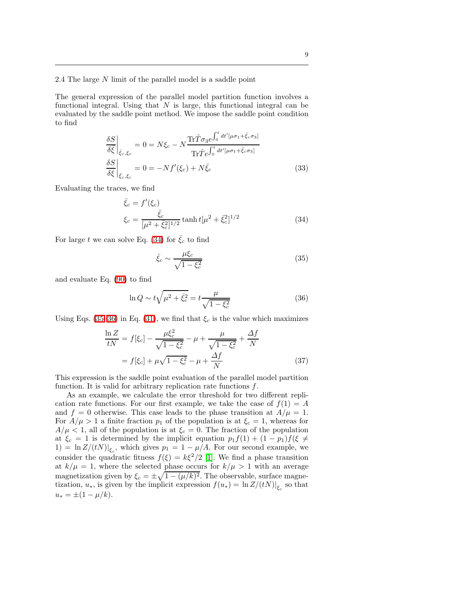2.4 The large N limit of the parallel model is a saddle point

The general expression of the parallel model partition function involves a functional integral. Using that  $N$  is large, this functional integral can be evaluated by the saddle point method. We impose the saddle point condition to find

$$
\frac{\delta S}{\delta \bar{\xi}}\Big|_{\bar{\xi}_c,\xi_c} = 0 = N\xi_c - N \frac{\text{Tr}\hat{T}\sigma_3 e^{\int_0^t dt' [\mu\sigma_1 + \bar{\xi}_c \sigma_3]}}{\text{Tr}\hat{T}e^{\int_0^t dt' [\mu\sigma_1 + \bar{\xi}_c \sigma_3]}} \n\frac{\delta S}{\delta \xi}\Big|_{\bar{\xi}_c,\xi_c} = 0 = -Nf'(\xi_c) + N\bar{\xi}_c
$$
\n(33)

<span id="page-8-0"></span>Evaluating the traces, we find

$$
\bar{\xi}_c = f'(\xi_c)
$$
  
\n
$$
\xi_c = \frac{\bar{\xi}_c}{[\mu^2 + \bar{\xi}_c^2]^{1/2}} \tanh t [\mu^2 + \bar{\xi}_c^2]^{1/2}
$$
\n(34)

For large t we can solve Eq. [\(34\)](#page-8-0) for  $\bar{\xi}_c$  to find

$$
\bar{\xi}_c \sim \frac{\mu \xi_c}{\sqrt{1 - \xi_c^2}}\tag{35}
$$

<span id="page-8-2"></span>and evaluate Eq. [\(90\)](#page-24-0) to find

<span id="page-8-1"></span>
$$
\ln Q \sim t \sqrt{\mu^2 + \bar{\xi}_c^2} = t \frac{\mu}{\sqrt{1 - \xi_c^2}}
$$
\n(36)

<span id="page-8-3"></span>Using Eqs. [\(35–](#page-8-1)[36\)](#page-8-2) in Eq. [\(31\)](#page-7-0), we find that  $\xi_c$  is the value which maximizes

$$
\frac{\ln Z}{tN} = f[\xi_c] - \frac{\mu \xi_c^2}{\sqrt{1 - \xi_c^2}} - \mu + \frac{\mu}{\sqrt{1 - \xi_c^2}} + \frac{\Delta f}{N}
$$

$$
= f[\xi_c] + \mu \sqrt{1 - \xi_c^2} - \mu + \frac{\Delta f}{N}
$$
(37)

This expression is the saddle point evaluation of the parallel model partition function. It is valid for arbitrary replication rate functions f.

As an example, we calculate the error threshold for two different replication rate functions. For our first example, we take the case of  $f(1) = A$ and  $f = 0$  otherwise. This case leads to the phase transition at  $A/\mu = 1$ . For  $A/\mu > 1$  a finite fraction  $p_1$  of the population is at  $\xi_c = 1$ , whereas for  $A/\mu < 1$ , all of the population is at  $\xi_c = 0$ . The fraction of the population at  $\xi_c = 1$  is determined by the implicit equation  $p_1 f(1) + (1 - p_1) f(\xi \neq 0)$  $1) = \ln Z/(tN)|_{\xi_c}$ , which gives  $p_1 = 1 - \mu/A$ . For our second example, we consider the quadratic fitness  $f(\xi) = k\xi^2/2$  [\[1\]](#page-22-2). We find a phase transition at  $k/\mu = 1$ , where the selected phase occurs for  $k/\mu > 1$  with an average magnetization given by  $\xi_c = \pm \sqrt{1 - (\mu/k)^2}$ . The observable, surface magnetization,  $u_*$ , is given by the implicit expression  $f(u_*) = \ln Z/(tN)|_{\xi_c}$  so that  $u_* = \pm (1 - \mu/k).$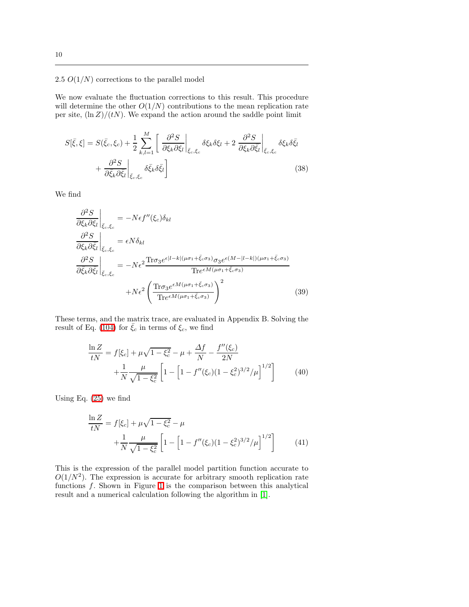## 2.5  $O(1/N)$  corrections to the parallel model

We now evaluate the fluctuation corrections to this result. This procedure will determine the other  $O(1/N)$  contributions to the mean replication rate per site,  $(\ln Z)/(tN)$ . We expand the action around the saddle point limit

$$
S[\bar{\xi}, \xi] = S(\bar{\xi}_c, \xi_c) + \frac{1}{2} \sum_{k,l=1}^{M} \left[ \left. \frac{\partial^2 S}{\partial \xi_k \partial \xi_l} \right|_{\bar{\xi}_c, \xi_c} \delta \xi_k \delta \xi_l + 2 \left. \frac{\partial^2 S}{\partial \xi_k \partial \bar{\xi}_l} \right|_{\bar{\xi}_c, \xi_c} \delta \xi_k \delta \bar{\xi}_l + \left. \frac{\partial^2 S}{\partial \bar{\xi}_k \partial \bar{\xi}_l} \right|_{\bar{\xi}_c, \xi_c} \delta \bar{\xi}_k \delta \bar{\xi}_l \right]
$$
(38)

<span id="page-9-1"></span>We find

$$
\frac{\partial^2 S}{\partial \xi_k \partial \xi_l} \Big|_{\bar{\xi}_c, \xi_c} = -N \epsilon f''(\xi_c) \delta_{kl}
$$
\n
$$
\frac{\partial^2 S}{\partial \xi_k \partial \bar{\xi}_l} \Big|_{\bar{\xi}_c, \xi_c} = \epsilon N \delta_{kl}
$$
\n
$$
\frac{\partial^2 S}{\partial \bar{\xi}_k \partial \bar{\xi}_l} \Big|_{\bar{\xi}_c, \xi_c} = -N \epsilon^2 \frac{\text{Tr} \sigma_3 e^{\epsilon |l - k| (\mu \sigma_1 + \bar{\xi}_c \sigma_3)} \sigma_3 e^{\epsilon (M - |l - k|) (\mu \sigma_1 + \bar{\xi}_c \sigma_3)}}{\text{Tr} e^{\epsilon M (\mu \sigma_1 + \bar{\xi}_c \sigma_3)}}
$$
\n
$$
+ N \epsilon^2 \left( \frac{\text{Tr} \sigma_3 e^{\epsilon M (\mu \sigma_1 + \bar{\xi}_c \sigma_3)}}{\text{Tr} e^{\epsilon M (\mu \sigma_1 + \bar{\xi}_c \sigma_3)}} \right)^2 \tag{39}
$$

These terms, and the matrix trace, are evaluated in Appendix B. Solving the result of Eq. [\(104\)](#page-27-0) for  $\bar{\xi}_c$  in terms of  $\xi_c$ , we find

$$
\frac{\ln Z}{tN} = f[\xi_c] + \mu \sqrt{1 - \xi_c^2} - \mu + \frac{\Delta f}{N} - \frac{f''(\xi_c)}{2N} + \frac{1}{N} \frac{\mu}{\sqrt{1 - \xi_c^2}} \left[ 1 - \left[ 1 - f''(\xi_c)(1 - \xi_c^2)^{3/2} / \mu \right]^{1/2} \right]
$$
(40)

<span id="page-9-0"></span>Using Eq. [\(25\)](#page-6-1) we find

$$
\frac{\ln Z}{tN} = f[\xi_c] + \mu \sqrt{1 - \xi_c^2} - \mu \n+ \frac{1}{N} \frac{\mu}{\sqrt{1 - \xi_c^2}} \left[ 1 - \left[ 1 - f''(\xi_c)(1 - \xi_c^2)^{3/2} / \mu \right]^{1/2} \right]
$$
\n(41)

This is the expression of the parallel model partition function accurate to  $O(1/N^2)$ . The expression is accurate for arbitrary smooth replication rate functions  $f$ . Shown in Figure [1](#page-10-0) is the comparison between this analytical result and a numerical calculation following the algorithm in [\[1\]](#page-22-2).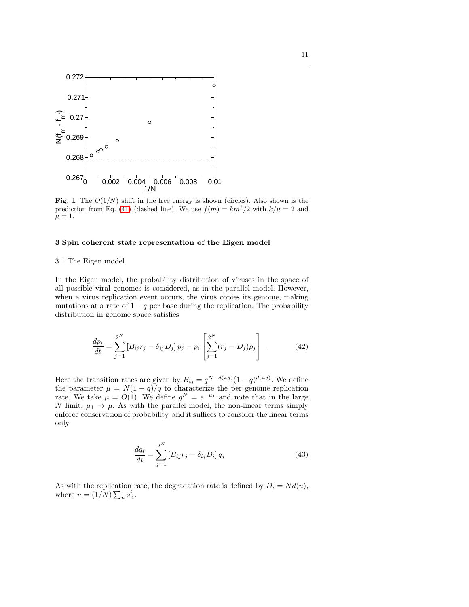

<span id="page-10-0"></span>Fig. 1 The  $O(1/N)$  shift in the free energy is shown (circles). Also shown is the prediction from Eq. [\(41\)](#page-9-0) (dashed line). We use  $f(m) = km^2/2$  with  $k/\mu = 2$  and  $\mu = 1.$ 

### 3 Spin coherent state representation of the Eigen model

## 3.1 The Eigen model

In the Eigen model, the probability distribution of viruses in the space of all possible viral genomes is considered, as in the parallel model. However, when a virus replication event occurs, the virus copies its genome, making mutations at a rate of  $1 - q$  per base during the replication. The probability distribution in genome space satisfies

$$
\frac{dp_i}{dt} = \sum_{j=1}^{2^N} \left[ B_{ij} r_j - \delta_{ij} D_j \right] p_j - p_i \left[ \sum_{j=1}^{2^N} (r_j - D_j) p_j \right] . \tag{42}
$$

Here the transition rates are given by  $B_{ij} = q^{N-d(i,j)}(1-q)^{d(i,j)}$ . We define the parameter  $\mu = N(1-q)/q$  to characterize the per genome replication rate. We take  $\mu = O(1)$ . We define  $q^N = e^{-\mu_1}$  and note that in the large N limit,  $\mu_1 \rightarrow \mu$ . As with the parallel model, the non-linear terms simply enforce conservation of probability, and it suffices to consider the linear terms only

$$
\frac{dq_i}{dt} = \sum_{j=1}^{2^N} \left[ B_{ij} r_j - \delta_{ij} D_i \right] q_j \tag{43}
$$

As with the replication rate, the degradation rate is defined by  $D_i = Nd(u)$ , where  $u = (1/N) \sum_n s_n^i$ .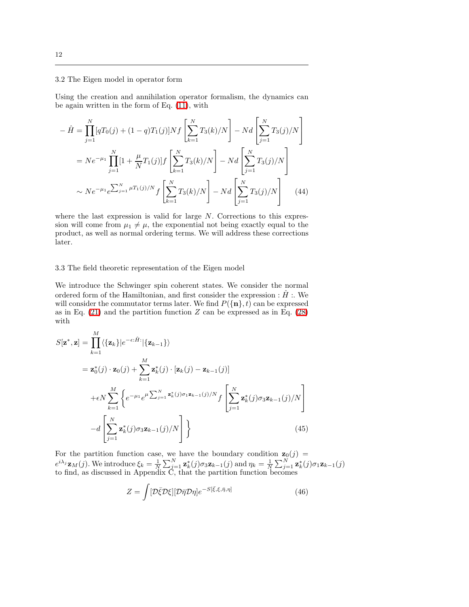## 3.2 The Eigen model in operator form

Using the creation and annihilation operator formalism, the dynamics can be again written in the form of Eq. [\(11\)](#page-3-1), with

<span id="page-11-0"></span>
$$
-\hat{H} = \prod_{j=1}^{N} [qT_0(j) + (1-q)T_1(j)]Nf\left[\sum_{k=1}^{N} T_3(k)/N\right] - Nd\left[\sum_{j=1}^{N} T_3(j)/N\right]
$$

$$
= Ne^{-\mu_1} \prod_{j=1}^{N} [1 + \frac{\mu}{N}T_1(j)]f\left[\sum_{k=1}^{N} T_3(k)/N\right] - Nd\left[\sum_{j=1}^{N} T_3(j)/N\right]
$$

$$
\sim Ne^{-\mu_1}e^{\sum_{j=1}^{N} \mu T_1(j)/N}f\left[\sum_{k=1}^{N} T_3(k)/N\right] - Nd\left[\sum_{j=1}^{N} T_3(j)/N\right]
$$
(44)

where the last expression is valid for large  $N$ . Corrections to this expression will come from  $\mu_1 \neq \mu$ , the exponential not being exactly equal to the product, as well as normal ordering terms. We will address these corrections later.

## 3.3 The field theoretic representation of the Eigen model

We introduce the Schwinger spin coherent states. We consider the normal ordered form of the Hamiltonian, and first consider the expression :  $\hat{H}$  :. We will consider the commutator terms later. We find  $P({\bf n}, t)$  can be expressed as in Eq.  $(21)$  and the partition function Z can be expressed as in Eq.  $(28)$ with

$$
S[\mathbf{z}^*, \mathbf{z}] = \prod_{k=1}^M \langle \{\mathbf{z}_k\} | e^{-\epsilon : \hat{H} :} | \{\mathbf{z}_{k-1}\} \rangle
$$
  
\n
$$
= \mathbf{z}_0^*(j) \cdot \mathbf{z}_0(j) + \sum_{k=1}^M \mathbf{z}_k^*(j) \cdot [\mathbf{z}_k(j) - \mathbf{z}_{k-1}(j)]
$$
  
\n
$$
+ \epsilon N \sum_{k=1}^M \left\{ e^{-\mu_1} e^{\mu \sum_{j=1}^N \mathbf{z}_k^*(j) \sigma_1 \mathbf{z}_{k-1}(j)/N} f \left[ \sum_{j=1}^N \mathbf{z}_k^*(j) \sigma_3 \mathbf{z}_{k-1}(j)/N \right] - d \left[ \sum_{j=1}^N \mathbf{z}_k^*(j) \sigma_3 \mathbf{z}_{k-1}(j)/N \right] \right\}
$$
(45)

For the partition function case, we have the boundary condition  $z_0(j)$  =  $e^{i\lambda_j} \mathbf{z}_M(j)$ . We introduce  $\xi_k = \frac{1}{N} \sum_{j=1}^N \mathbf{z}_k^*(j) \sigma_3 \mathbf{z}_{k-1}(j)$  and  $\eta_k = \frac{1}{N} \sum_{j=1}^N \mathbf{z}_k^*(j) \sigma_1 \mathbf{z}_{k-1}(j)$ to find, as discussed in Appendix C, that the partition function becomes

$$
Z = \int [\mathcal{D}\bar{\xi}\mathcal{D}\xi][\mathcal{D}\bar{\eta}\mathcal{D}\eta]e^{-S[\bar{\xi},\xi,\bar{\eta},\eta]}
$$
(46)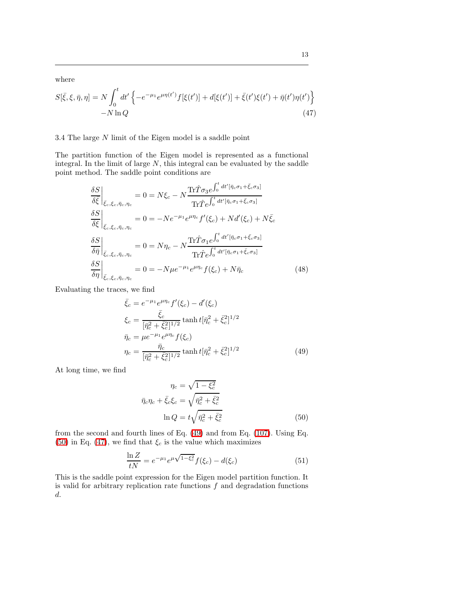where

<span id="page-12-2"></span>
$$
S[\bar{\xi}, \xi, \bar{\eta}, \eta] = N \int_0^t dt' \left\{ -e^{-\mu_1} e^{\mu \eta(t')} f[\xi(t')] + d[\xi(t')] + \bar{\xi}(t')\xi(t') + \bar{\eta}(t')\eta(t') \right\} - N \ln Q \tag{47}
$$

3.4 The large N limit of the Eigen model is a saddle point

The partition function of the Eigen model is represented as a functional integral. In the limit of large  $N$ , this integral can be evaluated by the saddle point method. The saddle point conditions are

$$
\frac{\delta S}{\delta \bar{\xi}}\Big|_{\bar{\xi}_c,\xi_c,\bar{\eta}_c,\eta_c} = 0 = N\xi_c - N \frac{\text{Tr}\hat{T}\sigma_3 e^{\int_0^t dt'[\bar{\eta}_c \sigma_1 + \bar{\xi}_c \sigma_3]}}{\text{Tr}\hat{T}e^{\int_0^t dt'[\bar{\eta}_c \sigma_1 + \bar{\xi}_c \sigma_3]}} \\
\frac{\delta S}{\delta \bar{\xi}}\Big|_{\bar{\xi}_c,\xi_c,\bar{\eta}_c,\eta_c} = 0 = -Ne^{-\mu_1}e^{\mu\eta_c}f'(\xi_c) + Nd'(\xi_c) + N\bar{\xi}_c \\
\frac{\delta S}{\delta \bar{\eta}}\Big|_{\bar{\xi}_c,\xi_c,\bar{\eta}_c,\eta_c} = 0 = N\eta_c - N \frac{\text{Tr}\hat{T}\sigma_1 e^{\int_0^t dt'[\bar{\eta}_c \sigma_1 + \bar{\xi}_c \sigma_3]}}{\text{Tr}\hat{T}e^{\int_0^t dt'[\bar{\eta}_c \sigma_1 + \bar{\xi}_c \sigma_3]}} \\
\frac{\delta S}{\delta \eta}\Big|_{\bar{\xi}_c,\xi_c,\bar{\eta}_c,\eta_c} = 0 = -N\mu e^{-\mu_1}e^{\mu\eta_c}f(\xi_c) + N\bar{\eta}_c
$$
\n(48)

<span id="page-12-0"></span>Evaluating the traces, we find

$$
\bar{\xi}_c = e^{-\mu_1} e^{\mu \eta_c} f'(\xi_c) - d'(\xi_c)
$$
\n
$$
\xi_c = \frac{\bar{\xi}_c}{[\bar{\eta}_c^2 + \bar{\xi}_c^2]^{1/2}} \tanh t [\bar{\eta}_c^2 + \bar{\xi}_c^2]^{1/2}
$$
\n
$$
\bar{\eta}_c = \mu e^{-\mu_1} e^{\mu \eta_c} f(\xi_c)
$$
\n
$$
\eta_c = \frac{\bar{\eta}_c}{[\bar{\eta}_c^2 + \bar{\xi}_c^2]^{1/2}} \tanh t [\bar{\eta}_c^2 + \bar{\xi}_c^2]^{1/2}
$$
\n(49)

At long time, we find

<span id="page-12-1"></span>
$$
\eta_c = \sqrt{1 - \xi_c^2}
$$

$$
\bar{\eta}_c \eta_c + \bar{\xi}_c \xi_c = \sqrt{\bar{\eta}_c^2 + \bar{\xi}_c^2}
$$

$$
\ln Q = t \sqrt{\bar{\eta}_c^2 + \bar{\xi}_c^2}
$$
(50)

from the second and fourth lines of Eq. [\(49\)](#page-12-0) and from Eq. [\(107\)](#page-27-1). Using Eq. [\(50\)](#page-12-1) in Eq. [\(47\)](#page-12-2), we find that  $\xi_c$  is the value which maximizes

$$
\frac{\ln Z}{tN} = e^{-\mu_1} e^{\mu \sqrt{1 - \xi_c^2}} f(\xi_c) - d(\xi_c)
$$
\n(51)

<span id="page-12-3"></span>This is the saddle point expression for the Eigen model partition function. It is valid for arbitrary replication rate functions  $f$  and degradation functions d.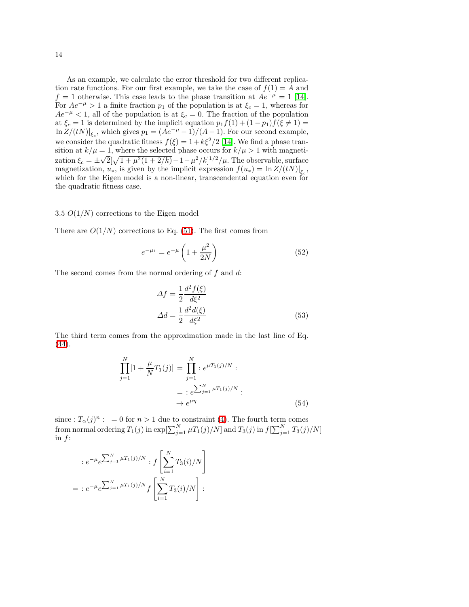As an example, we calculate the error threshold for two different replication rate functions. For our first example, we take the case of  $f(1) = A$  and  $f = 1$  otherwise. This case leads to the phase transition at  $Ae^{-\mu} = 1$  [\[14\]](#page-23-7). For  $Ae^{-\mu} > 1$  a finite fraction  $p_1$  of the population is at  $\xi_c = 1$ , whereas for  $Ae^{-\mu} < 1$ , all of the population is at  $\xi_c = 0$ . The fraction of the population at  $\xi_c = 1$  is determined by the implicit equation  $p_1 f(1) + (1 - p_1) f(\xi \neq 1) =$  $\ln Z/(tN)|_{\xi_c}$ , which gives  $p_1 = (Ae^{-\mu} - 1)/(A - 1)$ . For our second example, we consider the quadratic fitness  $f(\xi) = 1 + k\xi^2/2$  [\[14\]](#page-23-7). We find a phase transition at  $k/\mu = 1$ , where the selected phase occurs for  $k/\mu > 1$  with magnetization  $\xi_c = \pm \sqrt{2} [\sqrt{1 + \mu^2 (1 + 2/k)} - 1 - \mu^2 / k]^{1/2} / \mu$ . The observable, surface magnetization,  $u_*$ , is given by the implicit expression  $f(u_*) = \ln Z/(tN)|_{\xi_c}$ , which for the Eigen model is a non-linear, transcendental equation even for the quadratic fitness case.

## 3.5  $O(1/N)$  corrections to the Eigen model

<span id="page-13-0"></span>There are  $O(1/N)$  corrections to Eq. [\(51\)](#page-12-3). The first comes from

$$
e^{-\mu_1} = e^{-\mu} \left( 1 + \frac{\mu^2}{2N} \right) \tag{52}
$$

<span id="page-13-1"></span>The second comes from the normal ordering of  $f$  and  $d$ :

$$
\Delta f = \frac{1}{2} \frac{d^2 f(\xi)}{d\xi^2}
$$
  

$$
\Delta d = \frac{1}{2} \frac{d^2 d(\xi)}{d\xi^2}
$$
(53)

<span id="page-13-3"></span>The third term comes from the approximation made in the last line of Eq. [\(44\)](#page-11-0).

$$
\prod_{j=1}^{N} [1 + \frac{\mu}{N} T_1(j)] = \prod_{j=1}^{N} :e^{\mu T_1(j)/N} : \\ = :e^{\sum_{j=1}^{N} \mu T_1(j)/N} : \\ \rightarrow e^{\mu \eta} \tag{54}
$$

<span id="page-13-2"></span>since :  $T_{\alpha}(j)^n$  : = 0 for  $n > 1$  due to constraint [\(4\)](#page-3-2). The fourth term comes from normal ordering  $T_1(j)$  in  $\exp[\sum_{j=1}^N \mu T_1(j)/N]$  and  $T_3(j)$  in  $f[\sum_{j=1}^N T_3(j)/N]$ in  $f$ :

$$
: e^{-\mu} e^{\sum_{j=1}^{N} \mu T_1(j)/N} : f\left[\sum_{i=1}^{N} T_3(i)/N\right]
$$
  
= 
$$
: e^{-\mu} e^{\sum_{j=1}^{N} \mu T_1(j)/N} f\left[\sum_{i=1}^{N} T_3(i)/N\right] :
$$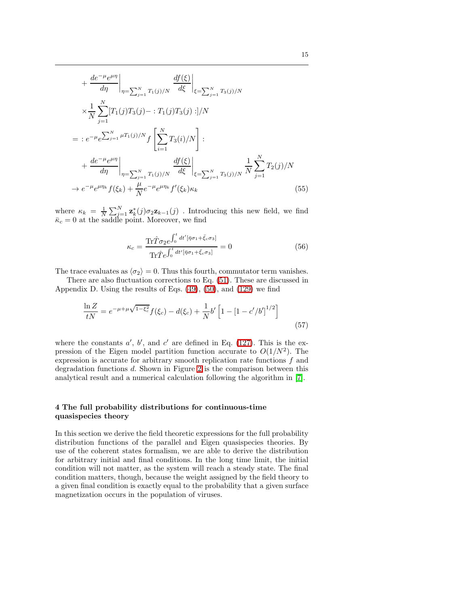$$
+\frac{de^{-\mu}e^{\mu\eta}}{d\eta}\Big|_{\eta=\sum_{j=1}^{N}T_{1}(j)/N}\frac{df(\xi)}{d\xi}\Big|_{\xi=\sum_{j=1}^{N}T_{3}(j)/N}
$$
  
\n
$$
\times\frac{1}{N}\sum_{j=1}^{N}[T_{1}(j)T_{3}(j)-:T_{1}(j)T_{3}(j):]/N
$$
  
\n
$$
= :e^{-\mu}e^{\sum_{j=1}^{N}\mu T_{1}(j)/N}f\left[\sum_{i=1}^{N}T_{3}(i)/N\right]:
$$
  
\n
$$
+\frac{de^{-\mu}e^{\mu\eta}}{d\eta}\Big|_{\eta=\sum_{j=1}^{N}T_{1}(j)/N}\frac{df(\xi)}{d\xi}\Big|_{\xi=\sum_{j=1}^{N}T_{3}(j)/N}\frac{1}{N}\sum_{j=1}^{N}T_{2}(j)/N
$$
  
\n
$$
\to e^{-\mu}e^{\mu\eta_{k}}f(\xi_{k})+\frac{\mu}{N}e^{-\mu}e^{\mu\eta_{k}}f'(\xi_{k})\kappa_{k}
$$
(55)

where  $\kappa_k = \frac{1}{N} \sum_{i=1}^{N} \mathbf{z}_k^*(j) \sigma_2 \mathbf{z}_{k-1}(j)$ . Introducing this new field, we find  $\bar{\kappa}_c = 0$  at the saddle point. Moreover, we find

$$
\kappa_c = \frac{\text{Tr}\hat{T}\sigma_2 e^{\int_0^t dt'[\bar{\eta}\sigma_1 + \bar{\xi}_c \sigma_3]}}{\text{Tr}\hat{T}e^{\int_0^t dt'[\bar{\eta}\sigma_1 + \bar{\xi}_c \sigma_3]}} = 0
$$
\n(56)

<span id="page-14-1"></span>The trace evaluates as  $\langle \sigma_2 \rangle = 0$ . Thus this fourth, commutator term vanishes.

<span id="page-14-0"></span>There are also fluctuation corrections to Eq. [\(51\)](#page-12-3). These are discussed in Appendix D. Using the results of Eqs. [\(49\)](#page-12-0), [\(50\)](#page-12-1), and [\(129\)](#page-33-0) we find

$$
\frac{\ln Z}{tN} = e^{-\mu + \mu \sqrt{1 - \xi_c^2}} f(\xi_c) - d(\xi_c) + \frac{1}{N} b' \left[ 1 - \left[ 1 - c'/b' \right]^{1/2} \right]
$$
\n(57)

where the constants  $a'$ ,  $b'$ , and  $c'$  are defined in Eq. [\(127\)](#page-32-0). This is the expression of the Eigen model partition function accurate to  $O(1/N^2)$ . The expression is accurate for arbitrary smooth replication rate functions  $f$  and degradation functions  $d$ . Shown in Figure [2](#page-15-0) is the comparison between this analytical result and a numerical calculation following the algorithm in [\[7\]](#page-22-5).

## 4 The full probability distributions for continuous-time quasispecies theory

In this section we derive the field theoretic expressions for the full probability distribution functions of the parallel and Eigen quasispecies theories. By use of the coherent states formalism, we are able to derive the distribution for arbitrary initial and final conditions. In the long time limit, the initial condition will not matter, as the system will reach a steady state. The final condition matters, though, because the weight assigned by the field theory to a given final condition is exactly equal to the probability that a given surface magnetization occurs in the population of viruses.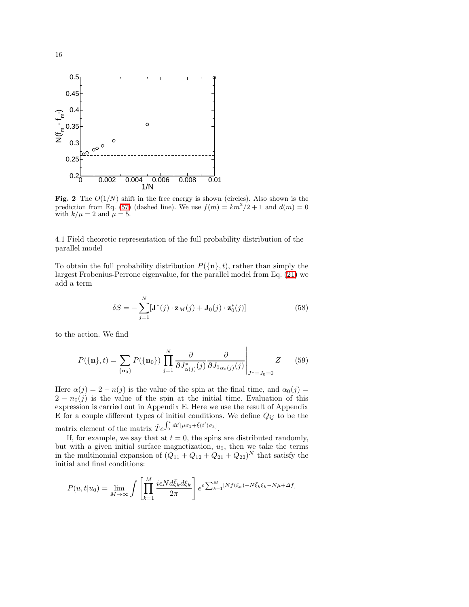

<span id="page-15-0"></span>Fig. 2 The  $O(1/N)$  shift in the free energy is shown (circles). Also shown is the prediction from Eq. [\(57\)](#page-14-0) (dashed line). We use  $f(m) = km^2/2 + 1$  and  $d(m) = 0$ with  $k/\mu = 2$  and  $\mu = 5$ .

4.1 Field theoretic representation of the full probability distribution of the parallel model

To obtain the full probability distribution  $P({\{n\}}, t)$ , rather than simply the largest Frobenius-Perrone eigenvalue, for the parallel model from Eq. [\(21\)](#page-5-1) we add a term

$$
\delta S = -\sum_{j=1}^{N} [\mathbf{J}^*(j) \cdot \mathbf{z}_M(j) + \mathbf{J}_0(j) \cdot \mathbf{z}_0^*(j)] \tag{58}
$$

<span id="page-15-1"></span>to the action. We find

$$
P(\{\mathbf{n}\},t) = \sum_{\{\mathbf{n}_0\}} P(\{\mathbf{n}_0\}) \prod_{j=1}^N \frac{\partial}{\partial J_{\alpha(j)}^*(j)} \frac{\partial}{\partial J_{0\alpha_0(j)}(j)}\Bigg|_{J^*=J_0=0} Z \qquad (59)
$$

Here  $\alpha(j) = 2 - n(j)$  is the value of the spin at the final time, and  $\alpha_0(j) =$  $2 - n_0(j)$  is the value of the spin at the initial time. Evaluation of this expression is carried out in Appendix E. Here we use the result of Appendix E for a couple different types of initial conditions. We define  $Q_{ij}$  to be the matrix element of the matrix  $\hat{T}e^{\int_0^t dt'[\mu\sigma_1+\bar{\xi}(t')\sigma_3]}$ .

If, for example, we say that at  $t = 0$ , the spins are distributed randomly, but with a given initial surface magnetization,  $u_0$ , then we take the terms in the multinomial expansion of  $(Q_{11} + Q_{12} + Q_{21} + Q_{22})^N$  that satisfy the initial and final conditions:

$$
P(u,t|u_0) = \lim_{M \to \infty} \int \left[ \prod_{k=1}^M \frac{i\epsilon N d\xi_k d\xi_k}{2\pi} \right] e^{\epsilon \sum_{k=1}^M [Nf(\xi_k) - N\bar{\xi}_k \xi_k - N\mu + \Delta f]}
$$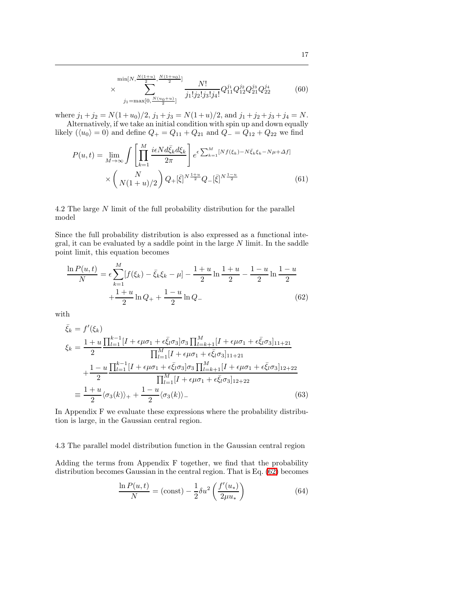$$
\times \sum_{j_1=\max[0,\frac{N(u_0+u)}{2}]}^{\min[N,\frac{N(1+u)}{2},\frac{N(1+u_0)}{2}]} \frac{N!}{j_1!j_2!j_3!j_4!} Q_{11}^{j_1} Q_{12}^{j_2} Q_{21}^{j_3} Q_{22}^{j_4}
$$
(60)

where  $j_1 + j_2 = N(1 + u_0)/2$ ,  $j_1 + j_3 = N(1 + u)/2$ , and  $j_1 + j_2 + j_3 + j_4 = N$ .

<span id="page-16-1"></span>Alternatively, if we take an initial condition with spin up and down equally likely  $(\langle u_0 \rangle = 0)$  and define  $Q_+ = Q_{11} + Q_{21}$  and  $Q_- = Q_{12} + Q_{22}$  we find

$$
P(u,t) = \lim_{M \to \infty} \int \left[ \prod_{k=1}^{M} \frac{i\epsilon N d\xi_k d\xi_k}{2\pi} \right] e^{\epsilon \sum_{k=1}^{M} [Nf(\xi_k) - N\bar{\xi}_k \xi_k - N\mu + \Delta f]}
$$

$$
\times \left( \frac{N}{N(1+u)/2} \right) Q + [\bar{\xi}]^{N\frac{1+u}{2}} Q - [\bar{\xi}]^{N\frac{1-u}{2}}
$$
(61)

4.2 The large N limit of the full probability distribution for the parallel model

Since the full probability distribution is also expressed as a functional integral, it can be evaluated by a saddle point in the large N limit. In the saddle point limit, this equation becomes

<span id="page-16-0"></span>
$$
\frac{\ln P(u,t)}{N} = \epsilon \sum_{k=1}^{M} [f(\xi_k) - \bar{\xi}_k \xi_k - \mu] - \frac{1+u}{2} \ln \frac{1+u}{2} - \frac{1-u}{2} \ln \frac{1-u}{2} + \frac{1+u}{2} \ln Q_+ + \frac{1-u}{2} \ln Q_- \tag{62}
$$

with

$$
\bar{\xi}_{k} = f'(\xi_{k})
$$
\n
$$
\xi_{k} = \frac{1+u}{2} \frac{\prod_{l=1}^{k-1} [I + \epsilon \mu \sigma_{1} + \epsilon \bar{\xi}_{l} \sigma_{3}] \sigma_{3} \prod_{l=k+1}^{M} [I + \epsilon \mu \sigma_{1} + \epsilon \bar{\xi}_{l} \sigma_{3}]_{11+21}}{\prod_{l=1}^{M} [I + \epsilon \mu \sigma_{1} + \epsilon \bar{\xi}_{l} \sigma_{3}]_{11+21}} + \frac{1-u}{2} \frac{\prod_{l=1}^{k-1} [I + \epsilon \mu \sigma_{1} + \epsilon \bar{\xi}_{l} \sigma_{3}] \sigma_{3} \prod_{l=k+1}^{M} [I + \epsilon \mu \sigma_{1} + \epsilon \bar{\xi}_{l} \sigma_{3}]_{12+22}}{\prod_{l=1}^{M} [I + \epsilon \mu \sigma_{1} + \epsilon \bar{\xi}_{l} \sigma_{3}]_{12+22}} = \frac{1+u}{2} \langle \sigma_{3}(k) \rangle_{+} + \frac{1-u}{2} \langle \sigma_{3}(k) \rangle_{-}
$$
\n(63)

In Appendix F we evaluate these expressions where the probability distribution is large, in the Gaussian central region.

## 4.3 The parallel model distribution function in the Gaussian central region

Adding the terms from Appendix F together, we find that the probability distribution becomes Gaussian in the central region. That is Eq. [\(62\)](#page-16-0) becomes

$$
\frac{\ln P(u,t)}{N} = \left(\text{const}\right) - \frac{1}{2}\delta u^2 \left(\frac{f'(u_*)}{2\mu u_*}\right) \tag{64}
$$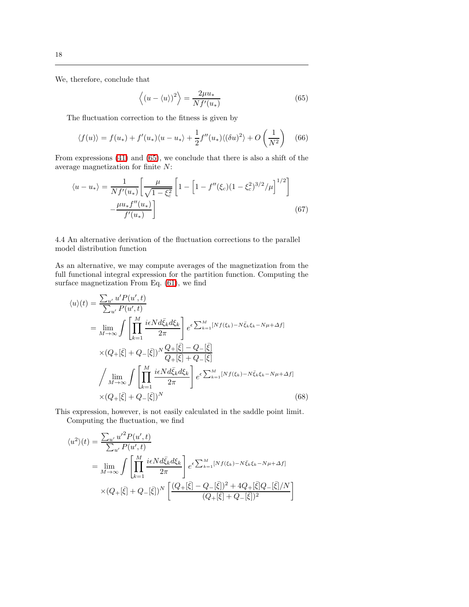We, therefore, conclude that

$$
\left\langle \left(u - \langle u \rangle\right)^2 \right\rangle = \frac{2\mu u_*}{N f'(u_*)} \tag{65}
$$

<span id="page-17-0"></span>The fluctuation correction to the fitness is given by

$$
\langle f(u) \rangle = f(u_*) + f'(u_*) \langle u - u_* \rangle + \frac{1}{2} f''(u_*) \langle (\delta u)^2 \rangle + O\left(\frac{1}{N^2}\right) \tag{66}
$$

<span id="page-17-1"></span>From expressions [\(41\)](#page-9-0) and [\(65\)](#page-17-0), we conclude that there is also a shift of the average magnetization for finite N:

$$
\langle u - u_* \rangle = \frac{1}{N f'(u_*)} \left[ \frac{\mu}{\sqrt{1 - \xi_c^2}} \left[ 1 - \left[ 1 - f''(\xi_c)(1 - \xi_c^2)^{3/2} / \mu \right]^{1/2} \right] - \frac{\mu u_* f''(u_*)}{f'(u_*)} \right]
$$
(67)

4.4 An alternative derivation of the fluctuation corrections to the parallel model distribution function

As an alternative, we may compute averages of the magnetization from the full functional integral expression for the partition function. Computing the surface magnetization From Eq. [\(61\)](#page-16-1), we find

$$
\langle u \rangle(t) = \frac{\sum_{u'} u' P(u', t)}{\sum_{u'} P(u', t)}
$$
  
\n
$$
= \lim_{M \to \infty} \int \left[ \prod_{k=1}^{M} \frac{i\epsilon N d\xi_k d\xi_k}{2\pi} \right] e^{\epsilon \sum_{k=1}^{M} [Nf(\xi_k) - N\xi_k \xi_k - N\mu + \Delta f]}
$$
  
\n
$$
\times (Q_+[\bar{\xi}] + Q_-[\bar{\xi}])^N \frac{Q_+[\bar{\xi}] - Q_-[\bar{\xi}]}{Q_+[\bar{\xi}] + Q_-[\bar{\xi}]}
$$
  
\n
$$
\int \lim_{M \to \infty} \int \left[ \prod_{k=1}^{M} \frac{i\epsilon N d\xi_k d\xi_k}{2\pi} \right] e^{\epsilon \sum_{k=1}^{M} [Nf(\xi_k) - N\xi_k \xi_k - N\mu + \Delta f]}
$$
  
\n
$$
\times (Q_+[\bar{\xi}] + Q_-[\bar{\xi}])^N
$$
(68)

This expression, however, is not easily calculated in the saddle point limit.

Computing the fluctuation, we find

$$
\langle u^2 \rangle(t) = \frac{\sum_{u'} u'^2 P(u', t)}{\sum_{u'} P(u', t)}
$$
  
= 
$$
\lim_{M \to \infty} \int \left[ \prod_{k=1}^M \frac{i\epsilon N d\xi_k d\xi_k}{2\pi} \right] e^{\epsilon \sum_{k=1}^M [Nf(\xi_k) - N\bar{\xi}_k \xi_k - N\mu + \Delta f]}
$$
  

$$
\times (Q_+[\bar{\xi}] + Q_-[\bar{\xi}])^N \left[ \frac{(Q_+[\bar{\xi}] - Q_-[\bar{\xi}])^2 + 4Q_+[\bar{\xi}]Q_-[\bar{\xi}]/N}{(Q_+[\bar{\xi}] + Q_-[\bar{\xi}])^2} \right]
$$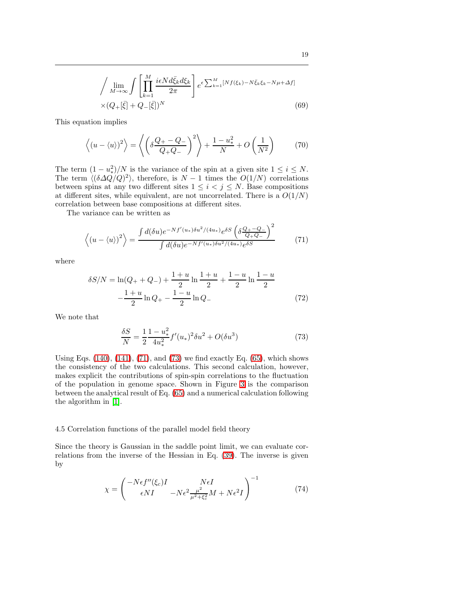$$
\left/ \lim_{M \to \infty} \int \left[ \prod_{k=1}^{M} \frac{i\epsilon N d\xi_k d\xi_k}{2\pi} \right] e^{\epsilon \sum_{k=1}^{M} [Nf(\xi_k) - N\bar{\xi}_k \xi_k - N\mu + \Delta f]}
$$
  
 
$$
\times (Q_+[\bar{\xi}] + Q_-[\bar{\xi}])^N
$$
(69)

This equation implies

$$
\left\langle \left(u - \langle u \rangle\right)^2 \right\rangle = \left\langle \left(\delta \frac{Q_+ - Q_-}{Q_+ Q_-}\right)^2 \right\rangle + \frac{1 - u_*^2}{N} + O\left(\frac{1}{N^2}\right) \tag{70}
$$

The term  $(1 - u^2)/N$  is the variance of the spin at a given site  $1 \le i \le N$ . The term  $\langle (\delta \Delta Q/Q)^2 \rangle$ , therefore, is  $N-1$  times the  $O(1/N)$  correlations between spins at any two different sites  $1 \leq i < j \leq N$ . Base compositions at different sites, while equivalent, are not uncorrelated. There is a  $O(1/N)$ correlation between base compositions at different sites.

The variance can be written as

$$
\left\langle \left(u - \langle u \rangle\right)^2 \right\rangle = \frac{\int d(\delta u) e^{-Nf'(u_*)\delta u^2/(4u_*)} e^{\delta S} \left(\delta \frac{Q_+ - Q_-}{Q_+ Q_-}\right)^2}{\int d(\delta u) e^{-Nf'(u_*)\delta u^2/(4u_*)} e^{\delta S}} \tag{71}
$$

<span id="page-18-0"></span>where

$$
\delta S/N = \ln(Q_{+} + Q_{-}) + \frac{1+u}{2} \ln \frac{1+u}{2} + \frac{1-u}{2} \ln \frac{1-u}{2} - \frac{1+u}{2} \ln Q_{+} - \frac{1-u}{2} \ln Q_{-}
$$
\n(72)

<span id="page-18-1"></span>We note that

$$
\frac{\delta S}{N} = \frac{1}{2} \frac{1 - u_*^2}{4u_*^2} f'(u_*)^2 \delta u^2 + O(\delta u^3)
$$
\n(73)

Using Eqs.  $(140)$ ,  $(141)$ ,  $(71)$ , and  $(73)$  we find exactly Eq.  $(65)$ , which shows the consistency of the two calculations. This second calculation, however, makes explicit the contributions of spin-spin correlations to the fluctuation of the population in genome space. Shown in Figure [3](#page-19-0) is the comparison between the analytical result of Eq. [\(65\)](#page-17-0) and a numerical calculation following the algorithm in [\[1\]](#page-22-2).

## 4.5 Correlation functions of the parallel model field theory

Since the theory is Gaussian in the saddle point limit, we can evaluate correlations from the inverse of the Hessian in Eq. [\(39\)](#page-9-1). The inverse is given by

$$
\chi = \left(\begin{array}{cc} -N\epsilon f''(\xi_c)I & N\epsilon I\\ \epsilon NI & -N\epsilon^2 \frac{\mu^2}{\mu^2 + \xi_c^2}M + N\epsilon^2 I \end{array}\right)^{-1} \tag{74}
$$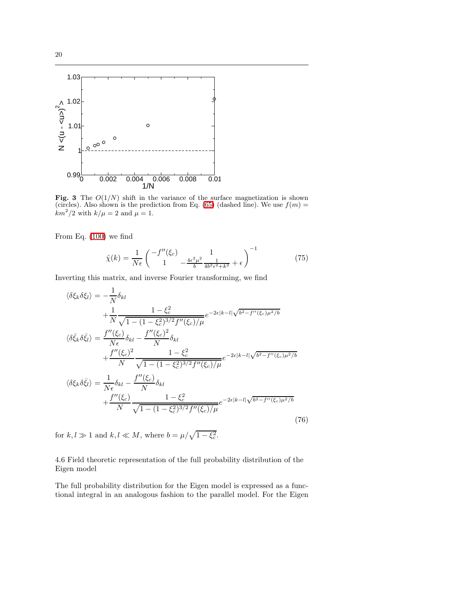

<span id="page-19-0"></span>**Fig. 3** The  $O(1/N)$  shift in the variance of the surface magnetization is shown (circles). Also shown is the prediction from Eq. [\(65\)](#page-17-0) (dashed line). We use  $f(m)$  =  $km^2/2$  with  $k/\mu = 2$  and  $\mu = 1$ .

From Eq. [\(100\)](#page-26-0) we find

$$
\hat{\chi}(k) = \frac{1}{N\epsilon} \begin{pmatrix} -f''(\xi_c) & 1\\ 1 & -\frac{4\epsilon^2 \mu^2}{b} \frac{1}{4b^2 \epsilon^2 + k^2} + \epsilon \end{pmatrix}^{-1}
$$
(75)

Inverting this matrix, and inverse Fourier transforming, we find

$$
\langle \delta \xi_k \delta \xi_l \rangle = -\frac{1}{N} \delta_{kl} \n+ \frac{1}{N} \frac{1 - \xi_c^2}{\sqrt{1 - (1 - \xi_c^2)^{3/2} f''(\xi_c) / \mu}} e^{-2\epsilon |k - l| \sqrt{b^2 - f''(\xi_c) \mu^2 / b}} \n\langle \delta \bar{\xi}_k \delta \bar{\xi}_l \rangle = \frac{f''(\xi_c)}{N \epsilon} \delta_{kl} - \frac{f''(\xi_c)^2}{N} \delta_{kl} \n+ \frac{f''(\xi_c)^2}{N} \frac{1 - \xi_c^2}{\sqrt{1 - (1 - \xi_c^2)^{3/2} f''(\xi_c) / \mu}} e^{-2\epsilon |k - l| \sqrt{b^2 - f''(\xi_c) \mu^2 / b}} \n\langle \delta \xi_k \delta \bar{\xi}_l \rangle = \frac{1}{N \epsilon} \delta_{kl} - \frac{f''(\xi_c)}{N} \delta_{kl} \n+ \frac{f''(\xi_c)}{N} \frac{1 - \xi_c^2}{\sqrt{1 - (1 - \xi_c^2)^{3/2} f''(\xi_c) / \mu}} e^{-2\epsilon |k - l| \sqrt{b^2 - f''(\xi_c) \mu^2 / b}} \n(76)
$$

for  $k, l \gg 1$  and  $k, l \ll M$ , where  $b = \mu/\sqrt{1 - \xi_c^2}$ .

4.6 Field theoretic representation of the full probability distribution of the Eigen model

The full probability distribution for the Eigen model is expressed as a functional integral in an analogous fashion to the parallel model. For the Eigen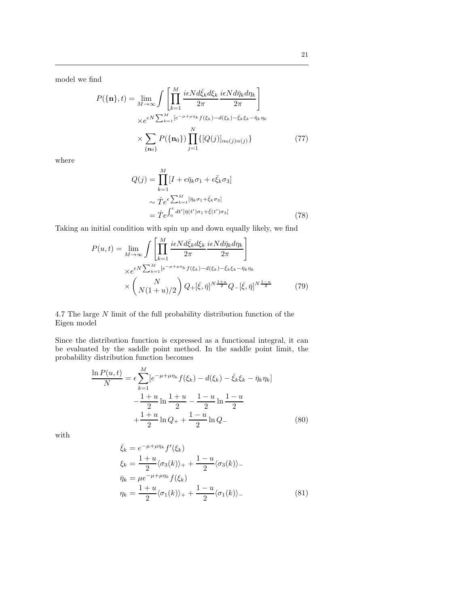model we find

$$
P(\{\mathbf{n}\},t) = \lim_{M \to \infty} \int \left[ \prod_{k=1}^{M} \frac{i\epsilon N d\bar{\xi}_k d\xi_k}{2\pi} \frac{i\epsilon N d\bar{\eta}_k d\eta_k}{2\pi} \right] \times e^{\epsilon N \sum_{k=1}^{M} [e^{-\mu + \mu \eta_k} f(\xi_k) - d(\xi_k) - \bar{\xi}_k \xi_k - \bar{\eta}_k \eta_k} \times \sum_{\{\mathbf{n}_0\}} P(\{\mathbf{n}_0\}) \prod_{j=1}^{N} \{[Q(j)]_{\alpha_0(j)\alpha(j)}\}
$$
(77)

where

$$
Q(j) = \prod_{k=1}^{M} [I + \epsilon \bar{\eta}_k \sigma_1 + \epsilon \bar{\xi}_k \sigma_3]
$$
  

$$
\sim \hat{T} e^{\epsilon \sum_{k=1}^{M} [\bar{\eta}_k \sigma_1 + \bar{\xi}_k \sigma_3]}
$$
  

$$
= \hat{T} e^{\int_0^t dt' [\bar{\eta}(t') \sigma_1 + \bar{\xi}(t') \sigma_3]}
$$
(78)

Taking an initial condition with spin up and down equally likely, we find

$$
P(u,t) = \lim_{M \to \infty} \int \left[ \prod_{k=1}^{M} \frac{i\epsilon N d\bar{\xi}_k d\xi_k}{2\pi} \frac{i\epsilon N d\bar{\eta}_k d\eta_k}{2\pi} \right]
$$

$$
\times e^{\epsilon N \sum_{k=1}^{M} \left[e^{-\mu + \mu \eta_k} f(\xi_k) - d(\xi_k) - \bar{\xi}_k \xi_k - \bar{\eta}_k \eta_k} \right]
$$

$$
\times \left( \frac{N}{N(1+u)/2} \right) Q_+ [\bar{\xi}, \bar{\eta}]^{N\frac{1+u}{2}} Q_- [\bar{\xi}, \bar{\eta}]^{N\frac{1-u}{2}}
$$
(79)

4.7 The large  $N$  limit of the full probability distribution function of the Eigen model

<span id="page-20-0"></span>Since the distribution function is expressed as a functional integral, it can be evaluated by the saddle point method. In the saddle point limit, the probability distribution function becomes

$$
\frac{\ln P(u,t)}{N} = \epsilon \sum_{k=1}^{M} [e^{-\mu + \mu \eta_k} f(\xi_k) - d(\xi_k) - \bar{\xi}_k \xi_k - \bar{\eta}_k \eta_k]
$$

$$
- \frac{1+u}{2} \ln \frac{1+u}{2} - \frac{1-u}{2} \ln \frac{1-u}{2}
$$

$$
+ \frac{1+u}{2} \ln Q_+ + \frac{1-u}{2} \ln Q_- \tag{80}
$$

with

$$
\bar{\xi}_k = e^{-\mu + \mu \eta_k} f'(\xi_k)
$$
\n
$$
\xi_k = \frac{1+u}{2} \langle \sigma_3(k) \rangle_+ + \frac{1-u}{2} \langle \sigma_3(k) \rangle_-
$$
\n
$$
\bar{\eta}_k = \mu e^{-\mu + \mu \eta_k} f(\xi_k)
$$
\n
$$
\eta_k = \frac{1+u}{2} \langle \sigma_1(k) \rangle_+ + \frac{1-u}{2} \langle \sigma_1(k) \rangle_- \tag{81}
$$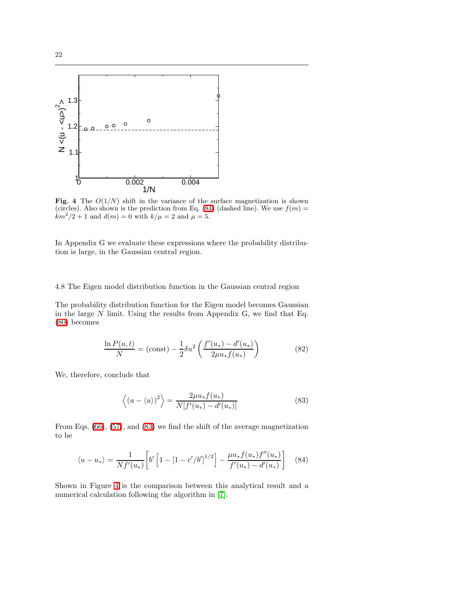

<span id="page-21-2"></span>Fig. 4 The  $O(1/N)$  shift in the variance of the surface magnetization is shown (circles). Also shown is the prediction from Eq. [\(84\)](#page-21-0) (dashed line). We use  $f(m)$  =  $k m^2/2 + 1$  and  $d(m) = 0$  with  $k/\mu = 2$  and  $\mu = 5$ .

In Appendix G we evaluate these expressions where the probability distribution is large, in the Gaussian central region.

## 4.8 The Eigen model distribution function in the Gaussian central region

The probability distribution function for the Eigen model becomes Gaussian in the large  $N$  limit. Using the results from Appendix G, we find that Eq. [\(80\)](#page-20-0) becomes

$$
\frac{\ln P(u,t)}{N} = (\text{const}) - \frac{1}{2}\delta u^2 \left(\frac{f'(u_*) - d'(u_*)}{2\mu u_* f(u_*)}\right) \tag{82}
$$

<span id="page-21-1"></span>We, therefore, conclude that

$$
\left\langle \left(u - \langle u \rangle\right)^2 \right\rangle = \frac{2\mu u_* f(u_*)}{N[f'(u_*) - d'(u_*)]} \tag{83}
$$

From Eqs. [\(66\)](#page-17-1), [\(57\)](#page-14-0), and [\(83\)](#page-21-1) we find the shift of the average magnetization to be

$$
\langle u - u_* \rangle = \frac{1}{N f'(u_*)} \left[ b' \left[ 1 - \left[ 1 - c'/b' \right]^{1/2} \right] - \frac{\mu u_* f(u_*) f''(u_*)}{f'(u_*) - d'(u_*)} \right] \tag{84}
$$

<span id="page-21-0"></span>Shown in Figure [4](#page-21-2) is the comparison between this analytical result and a numerical calculation following the algorithm in [\[7\]](#page-22-5).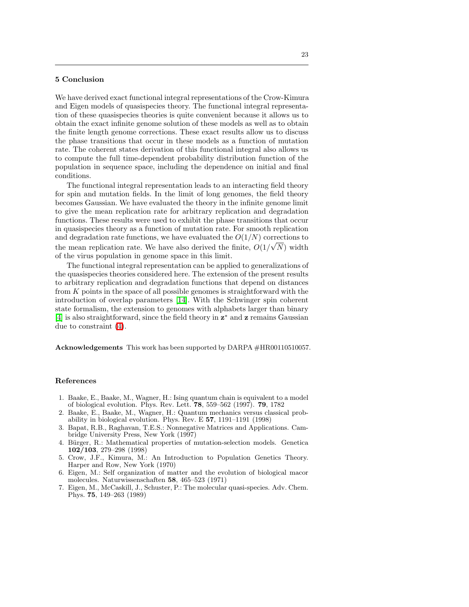## 5 Conclusion

We have derived exact functional integral representations of the Crow-Kimura and Eigen models of quasispecies theory. The functional integral representation of these quasispecies theories is quite convenient because it allows us to obtain the exact infinite genome solution of these models as well as to obtain the finite length genome corrections. These exact results allow us to discuss the phase transitions that occur in these models as a function of mutation rate. The coherent states derivation of this functional integral also allows us to compute the full time-dependent probability distribution function of the population in sequence space, including the dependence on initial and final conditions.

The functional integral representation leads to an interacting field theory for spin and mutation fields. In the limit of long genomes, the field theory becomes Gaussian. We have evaluated the theory in the infinite genome limit to give the mean replication rate for arbitrary replication and degradation functions. These results were used to exhibit the phase transitions that occur in quasispecies theory as a function of mutation rate. For smooth replication and degradation rate functions, we have evaluated the  $O(1/N)$  corrections to the mean replication rate. We have also derived the finite,  $O(1/\sqrt{N})$  width of the virus population in genome space in this limit.

The functional integral representation can be applied to generalizations of the quasispecies theories considered here. The extension of the present results to arbitrary replication and degradation functions that depend on distances from K points in the space of all possible genomes is straightforward with the introduction of overlap parameters [\[14\]](#page-23-7). With the Schwinger spin coherent state formalism, the extension to genomes with alphabets larger than binary [\[4\]](#page-22-6) is also straightforward, since the field theory in  $z^*$  and  $z$  remains Gaussian due to constraint [\(4\)](#page-3-2).

Acknowledgements This work has been supported by DARPA #HR00110510057.

### <span id="page-22-2"></span>References

- <span id="page-22-3"></span>1. Baake, E., Baake, M., Wagner, H.: Ising quantum chain is equivalent to a model of biological evolution. Phys. Rev. Lett. 78, 559–562 (1997). 79, 1782
- 2. Baake, E., Baake, M., Wagner, H.: Quantum mechanics versus classical probability in biological evolution. Phys. Rev. E 57, 1191–1191 (1998)
- <span id="page-22-4"></span>3. Bapat, R.B., Raghavan, T.E.S.: Nonnegative Matrices and Applications. Cambridge University Press, New York (1997)
- <span id="page-22-6"></span>4. Bürger, R.: Mathematical properties of mutation-selection models. Genetica 102/103, 279–298 (1998)
- <span id="page-22-1"></span>5. Crow, J.F., Kimura, M.: An Introduction to Population Genetics Theory. Harper and Row, New York (1970)
- <span id="page-22-0"></span>6. Eigen, M.: Self organization of matter and the evolution of biological macor molecules. Naturwissenschaften 58, 465–523 (1971)
- <span id="page-22-5"></span>7. Eigen, M., McCaskill, J., Schuster, P.: The molecular quasi-species. Adv. Chem. Phys. 75, 149–263 (1989)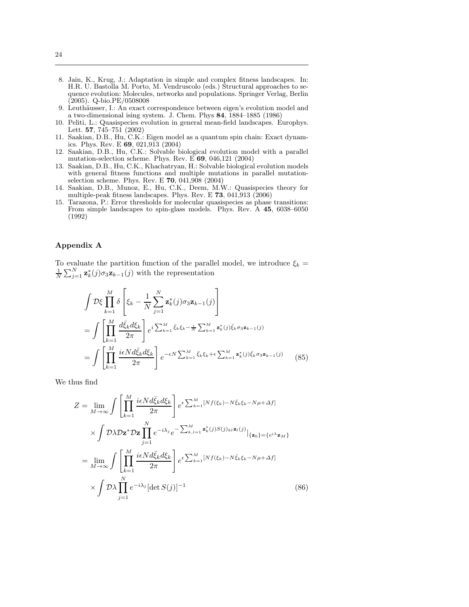- <span id="page-23-0"></span>8. Jain, K., Krug, J.: Adaptation in simple and complex fitness landscapes. In: H.R. U. Bastolla M. Porto, M. Vendruscolo (eds.) Structural approaches to sequence evolution: Molecules, networks and populations. Springer Verlag, Berlin (2005). Q-bio.PE/0508008
- <span id="page-23-1"></span>9. Leuthäusser, I.: An exact correspondence between eigen's evolution model and a two-dimensional ising system. J. Chem. Phys 84, 1884–1885 (1986)
- <span id="page-23-3"></span>10. Peliti, L.: Quasispecies evolution in general mean-field landscapes. Europhys. Lett. 57, 745–751 (2002)
- <span id="page-23-4"></span>11. Saakian, D.B., Hu, C.K.: Eigen model as a quantum spin chain: Exact dynamics. Phys. Rev. E 69, 021,913 (2004)
- <span id="page-23-5"></span>12. Saakian, D.B., Hu, C.K.: Solvable biological evolution model with a parallel mutation-selection scheme. Phys. Rev. E  $69$ , 046,121 (2004)
- <span id="page-23-6"></span>13. Saakian, D.B., Hu, C.K., Khachatryan, H.: Solvable biological evolution models with general fitness functions and multiple mutations in parallel mutationselection scheme. Phys. Rev. E 70, 041,908 (2004)
- <span id="page-23-7"></span>14. Saakian, D.B., Munoz, E., Hu, C.K., Deem, M.W.: Quasispecies theory for multiple-peak fitness landscapes. Phys. Rev. E 73, 041,913 (2006)
- <span id="page-23-2"></span>15. Tarazona, P.: Error thresholds for molecular quasispecies as phase transitions: From simple landscapes to spin-glass models. Phys. Rev. A 45, 6038–6050 (1992)

## Appendix A

To evaluate the partition function of the parallel model, we introduce  $\xi_k =$  $\frac{1}{N} \sum_{j=1}^{N} \mathbf{z}_{k}^{*}(j) \sigma_3 \mathbf{z}_{k-1}(j)$  with the representation

$$
\int \mathcal{D}\xi \prod_{k=1}^{M} \delta \left[ \xi_k - \frac{1}{N} \sum_{j=1}^{N} \mathbf{z}_k^*(j) \sigma_3 \mathbf{z}_{k-1}(j) \right]
$$
\n
$$
= \int \left[ \prod_{k=1}^{M} \frac{d\bar{\xi}_k d\xi_k}{2\pi} \right] e^{i \sum_{k=1}^{M} \bar{\xi}_k \xi_k - \frac{i}{N} \sum_{k=1}^{M} \mathbf{z}_k^*(j) \bar{\xi}_k \sigma_3 \mathbf{z}_{k-1}(j)}
$$
\n
$$
= \int \left[ \prod_{k=1}^{M} \frac{i\epsilon N d\bar{\xi}_k d\xi_k}{2\pi} \right] e^{-\epsilon N \sum_{k=1}^{M} \bar{\xi}_k \xi_k + \epsilon \sum_{k=1}^{M} \mathbf{z}_k^*(j) \bar{\xi}_k \sigma_3 \mathbf{z}_{k-1}(j)} \qquad (85)
$$

We thus find

$$
Z = \lim_{M \to \infty} \int \left[ \prod_{k=1}^{M} \frac{i\epsilon N d\bar{\xi}_{k} d\xi_{k}}{2\pi} \right] e^{\epsilon \sum_{k=1}^{M} [Nf(\xi_{k}) - N\bar{\xi}_{k}\xi_{k} - N\mu + \Delta f]}
$$
  
 
$$
\times \int \mathcal{D}\lambda \mathcal{D} \mathbf{z}^{*} \mathcal{D} \mathbf{z} \prod_{j=1}^{N} e^{-i\lambda_{j}} e^{-\sum_{k,l=1}^{M} \mathbf{z}_{k}^{*}(j) S(j)_{kl} \mathbf{z}_{l}(j)} |_{\{\mathbf{z}_{0}\} = \{e^{i\lambda} \mathbf{z}_{M}\}}
$$
  

$$
= \lim_{M \to \infty} \int \left[ \prod_{k=1}^{M} \frac{i\epsilon N d\bar{\xi}_{k} d\xi_{k}}{2\pi} \right] e^{\epsilon \sum_{k=1}^{M} [Nf(\xi_{k}) - N\bar{\xi}_{k}\xi_{k} - N\mu + \Delta f]}
$$
  

$$
\times \int \mathcal{D}\lambda \prod_{j=1}^{N} e^{-i\lambda_{j}} [\det S(j)]^{-1}
$$
(86)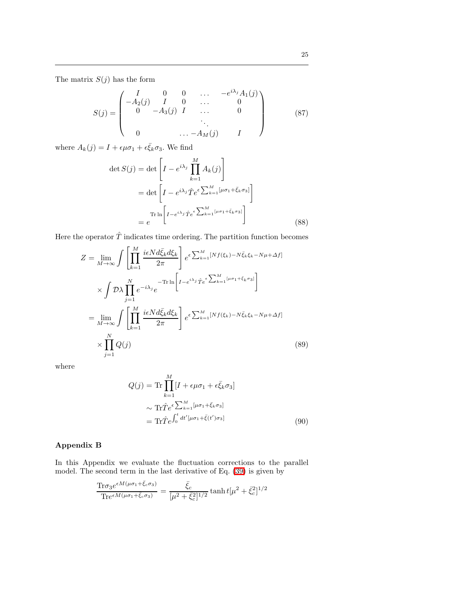<span id="page-24-1"></span>The matrix  $S(j)$  has the form

$$
S(j) = \begin{pmatrix} I & 0 & 0 & \dots & -e^{i\lambda_j} A_1(j) \\ -A_2(j) & I & 0 & \dots & 0 \\ 0 & -A_3(j) & I & \dots & 0 \\ & & & \ddots & \\ 0 & & & \dots & -A_M(j) & I \end{pmatrix}
$$
 (87)

<span id="page-24-2"></span>where  $A_k(j) = I + \epsilon \mu \sigma_1 + \epsilon \bar{\xi}_k \sigma_3$ . We find

$$
\det S(j) = \det \left[ I - e^{i\lambda_j} \prod_{k=1}^{M} A_k(j) \right]
$$
  
= 
$$
\det \left[ I - e^{i\lambda_j} \hat{T} e^{\epsilon \sum_{k=1}^{M} [\mu \sigma_1 + \bar{\xi}_k \sigma_3]} \right]
$$
  
= 
$$
\frac{\text{Tr} \ln \left[ I - e^{i\lambda_j} \hat{T} e^{\epsilon \sum_{k=1}^{M} [\mu \sigma_1 + \bar{\xi}_k \sigma_3]} \right]}{e}
$$
 (88)

<span id="page-24-3"></span>Here the operator  $\hat{T}$  indicates time ordering. The partition function becomes

$$
Z = \lim_{M \to \infty} \int \left[ \prod_{k=1}^{M} \frac{i\epsilon N d\bar{\xi}_k d\xi_k}{2\pi} \right] e^{\epsilon \sum_{k=1}^{M} [Nf(\xi_k) - N\bar{\xi}_k \xi_k - N\mu + \Delta f]}
$$
  
 
$$
\times \int \mathcal{D}\lambda \prod_{j=1}^{N} e^{-i\lambda_j} e^{-\text{Tr}\ln \left[I - e^{i\lambda_j} \hat{T}e^{\epsilon \sum_{k=1}^{M} [\mu \sigma_1 + \bar{\xi}_k \sigma_3]}\right]}
$$
  

$$
= \lim_{M \to \infty} \int \left[ \prod_{k=1}^{M} \frac{i\epsilon N d\bar{\xi}_k d\xi_k}{2\pi} \right] e^{\epsilon \sum_{k=1}^{M} [Nf(\xi_k) - N\bar{\xi}_k \xi_k - N\mu + \Delta f]}
$$
  

$$
\times \prod_{j=1}^{N} Q(j)
$$
(89)

<span id="page-24-0"></span>where

$$
Q(j) = \text{Tr} \prod_{k=1}^{M} [I + \epsilon \mu \sigma_1 + \epsilon \bar{\xi}_k \sigma_3]
$$

$$
\sim \text{Tr} \hat{T} e^{\epsilon \sum_{k=1}^{M} [\mu \sigma_1 + \bar{\xi}_k \sigma_3]}
$$

$$
= \text{Tr} \hat{T} e^{\int_0^t dt' [\mu \sigma_1 + \bar{\xi}(t') \sigma_3]} \tag{90}
$$

# Appendix B

In this Appendix we evaluate the fluctuation corrections to the parallel model. The second term in the last derivative of Eq. [\(39\)](#page-9-1) is given by

$$
\frac{{\rm Tr}\sigma_3e^{\epsilon M(\mu\sigma_1+\bar\xi_c\sigma_3)}}{{\rm Tr}e^{\epsilon M(\mu\sigma_1+\bar\xi_c\sigma_3)}}=\frac{\bar\xi_c}{[\mu^2+\bar\xi_c^2]^{1/2}}\tanh t[\mu^2+\bar\xi_c^2]^{1/2}
$$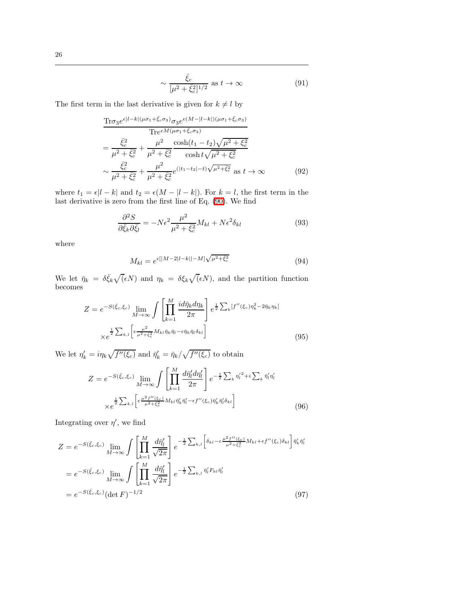$$
\sim \frac{\bar{\xi}_c}{[\mu^2 + \bar{\xi}_c^2]^{1/2}} \text{ as } t \to \infty \tag{91}
$$

The first term in the last derivative is given for  $k\neq l$  by

$$
\frac{\text{Tr}\sigma_{3}e^{\epsilon|l-k|(\mu\sigma_{1}+\bar{\xi}_{c}\sigma_{3})}\sigma_{3}e^{\epsilon(M-|l-k|)(\mu\sigma_{1}+\bar{\xi}_{c}\sigma_{3})}}{\text{Tr}e^{tM(\mu\sigma_{1}+\bar{\xi}_{c}\sigma_{3})}}\n=\frac{\bar{\xi}_{c}^{2}}{\mu^{2}+\bar{\xi}_{c}^{2}}+\frac{\mu^{2}}{\mu^{2}+\bar{\xi}_{c}^{2}}\frac{\cosh(t_{1}-t_{2})\sqrt{\mu^{2}+\bar{\xi}_{c}^{2}}}{\cosh t\sqrt{\mu^{2}+\bar{\xi}_{c}^{2}}}\n\sim\frac{\bar{\xi}_{c}^{2}}{\mu^{2}+\bar{\xi}_{c}^{2}}+\frac{\mu^{2}}{\mu^{2}+\bar{\xi}_{c}^{2}}e^{(|t_{1}-t_{2}|-t)\sqrt{\mu^{2}+\bar{\xi}_{c}^{2}}}\text{ as }t\to\infty
$$
\n(92)

where  $t_1 = \epsilon |l - k|$  and  $t_2 = \epsilon (M - |l - k|)$ . For  $k = l$ , the first term in the last derivative is zero from the first line of Eq. [\(90\)](#page-24-0). We find

$$
\frac{\partial^2 S}{\partial \bar{\xi}_k \partial \bar{\xi}_l} = -N\epsilon^2 \frac{\mu^2}{\mu^2 + \bar{\xi}_c^2} M_{kl} + N\epsilon^2 \delta_{kl}
$$
(93)

where

$$
M_{kl} = e^{\epsilon [|M-2|l-k||-M]} \sqrt{\mu^2 + \bar{\xi}_c^2}
$$
 (94)

We let  $\bar{\eta}_k = \delta \bar{\xi}_k \sqrt{(\epsilon N)}$  and  $\eta_k = \delta \xi_k \sqrt{(\epsilon N)}$ , and the partition function becomes

$$
Z = e^{-S(\bar{\xi}_c, \xi_c)} \lim_{M \to \infty} \int \left[ \prod_{k=1}^M \frac{i d\bar{\eta}_k d\eta_k}{2\pi} \right] e^{\frac{1}{2} \sum_k [f''(\xi_c)\eta_k^2 - 2\bar{\eta}_k \eta_k]}
$$

$$
\times e^{\frac{1}{2} \sum_{k,l} \left[ \epsilon \frac{\mu^2}{\mu^2 + \bar{\xi}_c^2} M_{kl} \bar{\eta}_k \bar{\eta}_l - \epsilon \bar{\eta}_k \bar{\eta}_l \delta_{kl} \right]}
$$
(95)

We let  $\eta'_k = i\eta_k \sqrt{f''(\xi_c)}$  and  $\bar{\eta}'_k = \bar{\eta}_k / \sqrt{f''(\xi_c)}$  to obtain

$$
Z = e^{-S(\bar{\xi}_c, \xi_c)} \lim_{M \to \infty} \int \left[ \prod_{k=1}^{M} \frac{d\bar{\eta}_l' d\eta_l'}{2\pi} \right] e^{-\frac{1}{2} \sum_k \eta_l'^2 + i \sum_k \bar{\eta}_l' \eta_l'}
$$

$$
\times e^{\frac{1}{2} \sum_{k,l} \left[ \epsilon \frac{\mu^2 f''(\xi_c)}{\mu^2 + \bar{\xi}_c^2} M_{kl} \bar{\eta}_k' \bar{\eta}_l' - \epsilon f''(\xi_c) \bar{\eta}_k' \bar{\eta}_l' \delta_{kl} \right]}
$$
(96)

Integrating over  $\eta'$ , we find

<span id="page-25-0"></span>
$$
Z = e^{-S(\bar{\xi}_c, \xi_c)} \lim_{M \to \infty} \int \left[ \prod_{k=1}^M \frac{d\bar{\eta}'_l}{\sqrt{2\pi}} \right] e^{-\frac{1}{2} \sum_{k,l} \left[ \delta_{kl} - \epsilon \frac{\mu^2 f''(\xi_c)}{\mu^2 + \bar{\xi}_c^2} M_{kl} + \epsilon f''(\xi_c) \delta_{kl} \right] \bar{\eta}'_k \bar{\eta}'_l}
$$
  
\n
$$
= e^{-S(\bar{\xi}_c, \xi_c)} \lim_{M \to \infty} \int \left[ \prod_{k=1}^M \frac{d\bar{\eta}'_l}{\sqrt{2\pi}} \right] e^{-\frac{1}{2} \sum_{k,l} \bar{\eta}'_l F_{kl} \bar{\eta}'_l}
$$
  
\n
$$
= e^{-S(\bar{\xi}_c, \xi_c)} (\det F)^{-1/2}
$$
(97)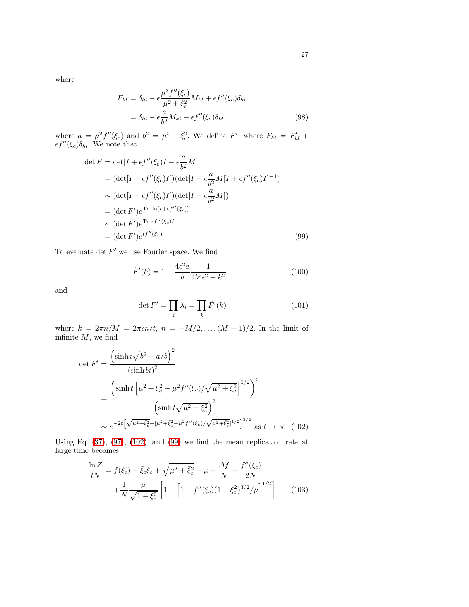where

$$
F_{kl} = \delta_{kl} - \epsilon \frac{\mu^2 f''(\xi_c)}{\mu^2 + \bar{\xi}_c^2} M_{kl} + \epsilon f''(\xi_c) \delta_{kl}
$$

$$
= \delta_{kl} - \epsilon \frac{a}{b^2} M_{kl} + \epsilon f''(\xi_c) \delta_{kl}
$$
(98)

<span id="page-26-2"></span>where  $a = \mu^2 f''(\xi_c)$  and  $b^2 = \mu^2 + \bar{\xi}_c^2$ . We define F', where  $F_{kl} = F'_{kl} +$  $\epsilon f''(\xi_c)\delta_{kl}$ . We note that

$$
\det F = \det[I + \epsilon f''(\xi_c)I - \epsilon \frac{a}{b^2}M]
$$
  
\n
$$
= (\det[I + \epsilon f''(\xi_c)I])(\det[I - \epsilon \frac{a}{b^2}M[I + \epsilon f''(\xi_c)I]^{-1})
$$
  
\n
$$
\sim (\det[I + \epsilon f''(\xi_c)I])(\det[I - \epsilon \frac{a}{b^2}M])
$$
  
\n
$$
= (\det F')e^{\text{Tr }\ln[I + \epsilon f''(\xi_c)]}
$$
  
\n
$$
\sim (\det F')e^{\text{Tr }\epsilon f''(\xi_c)I}
$$
  
\n
$$
= (\det F')e^{tf''(\xi_c)}
$$
 (99)

<span id="page-26-0"></span>To evaluate  $\det F'$  we use Fourier space. We find

$$
\hat{F}'(k) = 1 - \frac{4\epsilon^2 a}{b} \frac{1}{4b^2 \epsilon^2 + k^2}
$$
\n(100)

and

$$
\det F' = \prod_{i} \lambda_i = \prod_{k} \hat{F}'(k) \tag{101}
$$

<span id="page-26-1"></span>where  $k = 2\pi n/M = 2\pi \epsilon n/t$ ,  $n = -M/2, \ldots, (M-1)/2$ . In the limit of infinite  $M$ , we find

$$
\det F' = \frac{\left(\sinh t \sqrt{b^2 - a/b}\right)^2}{\left(\sinh bt\right)^2}
$$

$$
= \frac{\left(\sinh t \left[\mu^2 + \bar{\xi}_c^2 - \mu^2 f''(\xi_c) / \sqrt{\mu^2 + \bar{\xi}_c^2}\right]^{1/2}\right)^2}{\left(\sinh t \sqrt{\mu^2 + \bar{\xi}_c^2}\right)^2}
$$

$$
\sim e^{-2t \left[\sqrt{\mu^2 + \bar{\xi}_c^2} - \left[\mu^2 + \bar{\xi}_c^2 - \mu^2 f''(\xi_c) / \sqrt{\mu^2 + \bar{\xi}_c^2}\right]^{1/2}\right]^{1/2}} \text{ as } t \to \infty \quad (102)
$$

Using Eq. [\(37\)](#page-8-3), [\(97\)](#page-25-0), [\(102\)](#page-26-1), and [\(99\)](#page-26-2) we find the mean replication rate at large time becomes

$$
\frac{\ln Z}{tN} = f(\xi_c) - \bar{\xi}_c \xi_c + \sqrt{\mu^2 + \bar{\xi}_c^2} - \mu + \frac{\Delta f}{N} - \frac{f''(\xi_c)}{2N} + \frac{1}{N} \frac{\mu}{\sqrt{1 - \xi_c^2}} \left[ 1 - \left[ 1 - f''(\xi_c)(1 - \xi_c^2)^{3/2} / \mu \right]^{1/2} \right] \tag{103}
$$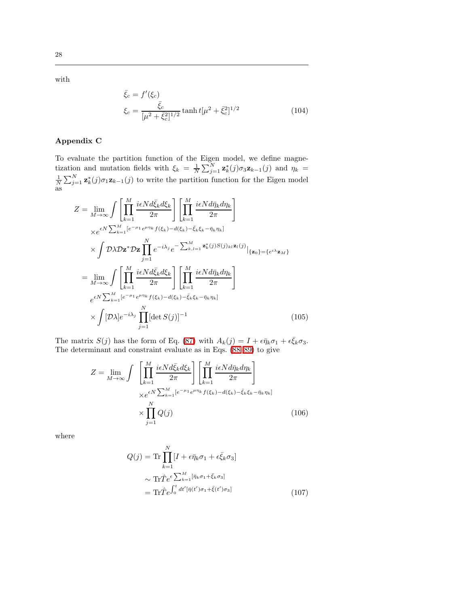<span id="page-27-0"></span>with

$$
\bar{\xi}_c = f'(\xi_c)
$$
  
\n
$$
\xi_c = \frac{\bar{\xi}_c}{[\mu^2 + \bar{\xi}_c^2]^{1/2}} \tanh t [\mu^2 + \bar{\xi}_c^2]^{1/2}
$$
\n(104)

# Appendix C

To evaluate the partition function of the Eigen model, we define magnetization and mutation fields with  $\xi_k = \frac{1}{N} \sum_{j=1}^N \mathbf{z}_k^*(j) \sigma_3 \mathbf{z}_{k-1}(j)$  and  $\eta_k = \frac{1}{N} \sum_{j=1}^N \mathbf{z}_k^*(j) \sigma_1 \mathbf{z}_{k-1}(j)$  to write the partition function for the Eigen model as

$$
Z = \lim_{M \to \infty} \int \left[ \prod_{k=1}^{M} \frac{i\epsilon N d\bar{\xi}_k d\xi_k}{2\pi} \right] \left[ \prod_{k=1}^{M} \frac{i\epsilon N d\bar{\eta}_k d\eta_k}{2\pi} \right]
$$
  
\n
$$
\times e^{\epsilon N \sum_{k=1}^{M} [e^{-\mu_1} e^{\mu \eta_k} f(\xi_k) - d(\xi_k) - \bar{\xi}_k \xi_k - \bar{\eta}_k \eta_k]}
$$
  
\n
$$
\times \int \mathcal{D} \lambda \mathcal{D} \mathbf{z}^* \mathcal{D} \mathbf{z} \prod_{j=1}^{N} e^{-i\lambda_j} e^{-\sum_{k,l=1}^{M} \mathbf{z}_k^*(j) S(j)_{kl} \mathbf{z}_l(j)} |_{\{\mathbf{z}_0\} = \{e^{i\lambda} \mathbf{z}_M\}}
$$
  
\n
$$
= \lim_{M \to \infty} \int \left[ \prod_{k=1}^{M} \frac{i\epsilon N d\bar{\xi}_k d\xi_k}{2\pi} \right] \left[ \prod_{k=1}^{M} \frac{i\epsilon N d\bar{\eta}_k d\eta_k}{2\pi} \right]
$$
  
\n
$$
e^{\epsilon N \sum_{k=1}^{M} [e^{-\mu_1} e^{\mu \eta_k} f(\xi_k) - d(\xi_k) - \bar{\xi}_k \xi_k - \bar{\eta}_k \eta_k]}
$$
  
\n
$$
\times \int [\mathcal{D} \lambda] e^{-i\lambda_j} \prod_{j=1}^{N} [\det S(j)]^{-1}
$$
(105)

The matrix  $S(j)$  has the form of Eq. [\(87\)](#page-24-1) with  $A_k(j) = I + \epsilon \bar{\eta}_k \sigma_1 + \epsilon \bar{\xi}_k \sigma_3$ . The determinant and constraint evaluate as in Eqs. [\(88–](#page-24-2)[89\)](#page-24-3) to give

$$
Z = \lim_{M \to \infty} \int \left[ \prod_{k=1}^{M} \frac{i\epsilon N d\bar{\xi}_k d\xi_k}{2\pi} \right] \left[ \prod_{k=1}^{M} \frac{i\epsilon N d\bar{\eta}_k d\eta_k}{2\pi} \right]
$$

$$
\times e^{\epsilon N \sum_{k=1}^{M} [e^{-\mu_1} e^{\mu \eta_k} f(\xi_k) - d(\xi_k) - \bar{\xi}_k \xi_k - \bar{\eta}_k \eta_k]}
$$

$$
\times \prod_{j=1}^{N} Q(j)
$$
(106)

<span id="page-27-1"></span>where

$$
Q(j) = \text{Tr} \prod_{k=1}^{N} [I + \epsilon \bar{\eta}_k \sigma_1 + \epsilon \bar{\xi}_k \sigma_3]
$$

$$
\sim \text{Tr} \hat{T} e^{\epsilon \sum_{k=1}^{M} [\bar{\eta}_k \sigma_1 + \bar{\xi}_k \sigma_3]}
$$

$$
= \text{Tr} \hat{T} e^{\int_0^t dt' [\bar{\eta}(t') \sigma_1 + \bar{\xi}(t') \sigma_3]}
$$
(107)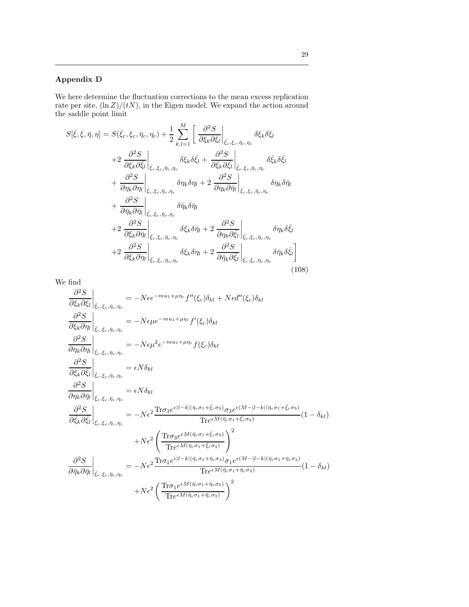# Appendix D

We here determine the fluctuation corrections to the mean excess replication rate per site,  $(\ln Z)/(tN)$ , in the Eigen model. We expand the action around the saddle point limit

<span id="page-28-0"></span>
$$
S[\bar{\xi}, \xi, \bar{\eta}, \eta] = S(\bar{\xi}_c, \xi_c, \bar{\eta}_c, \eta_c) + \frac{1}{2} \sum_{k,l=1}^{M} \left[ \frac{\partial^2 S}{\partial \xi_k \partial \xi_l} \Big|_{\bar{\xi}_c, \xi_c, \bar{\eta}_c, \eta_c} \delta \xi_k \delta \xi_l
$$
  
+  $2 \frac{\partial^2 S}{\partial \xi_k \partial \bar{\xi}_l} \Big|_{\bar{\xi}_c, \xi_c, \bar{\eta}_c, \eta_c} \delta \xi_k \delta \bar{\xi}_l + \frac{\partial^2 S}{\partial \bar{\xi}_k \partial \bar{\xi}_l} \Big|_{\bar{\xi}_c, \xi_c, \bar{\eta}_c, \eta_c} \delta \bar{\xi}_k \delta \bar{\xi}_l$   
+  $\frac{\partial^2 S}{\partial \eta_k \partial \eta_l} \Big|_{\bar{\xi}_c, \xi_c, \bar{\eta}_c, \eta_c} \delta \eta_k \delta \eta_l + 2 \frac{\partial^2 S}{\partial \eta_k \partial \bar{\eta}_l} \Big|_{\bar{\xi}_c, \xi_c, \bar{\eta}_c, \eta_c} \delta \eta_k \delta \bar{\eta}_l$   
+  $\frac{\partial^2 S}{\partial \bar{\eta}_k \partial \bar{\eta}_l} \Big|_{\bar{\xi}_c, \xi_c, \bar{\eta}_c, \eta_c} \delta \bar{\eta}_k \delta \bar{\eta}_l$   
+  $2 \frac{\partial^2 S}{\partial \xi_k \partial \bar{\eta}_l} \Big|_{\bar{\xi}_c, \xi_c, \bar{\eta}_c, \eta_c} \delta \xi_k \delta \bar{\eta}_l + 2 \frac{\partial^2 S}{\partial \eta_k \partial \bar{\xi}_l} \Big|_{\bar{\xi}_c, \xi_c, \bar{\eta}_c, \eta_c} \delta \eta_k \delta \bar{\xi}_l$   
+  $2 \frac{\partial^2 S}{\partial \xi_k \partial \eta_l} \Big|_{\bar{\xi}_c, \xi_c, \bar{\eta}_c, \eta_c} \delta \xi_k \delta \eta_l + 2 \frac{\partial^2 S}{\partial \bar{\eta}_k \partial \bar{\xi}_l} \Big|_{\bar{\xi}_c, \xi_c, \bar{\eta}_c, \eta_c} \delta \bar{\eta}_k \delta \bar{\xi}_l$  (108)

We find

$$
\frac{\partial^2 S}{\partial \xi_k \partial \xi_l}\Big|_{\bar{\xi}_c, \xi_c, \bar{\eta}_c, \eta_c} = -Ne^{-mu_1 + \mu \eta_c} f''(\xi_c) \delta_{kl} + N \epsilon d''(\xi_c) \delta_{kl}
$$
\n
$$
\frac{\partial^2 S}{\partial \xi_k \partial \eta_l}\Big|_{\bar{\xi}_c, \xi_c, \bar{\eta}_c, \eta_c} = -Ne\mu e^{-mu_1 + \mu \eta_c} f'(\xi_c) \delta_{kl}
$$
\n
$$
\frac{\partial^2 S}{\partial \eta_k \partial \eta_l}\Big|_{\bar{\xi}_c, \xi_c, \bar{\eta}_c, \eta_c} = -Ne\mu^2 e^{-mu_1 + \mu \eta_c} f(\xi_c) \delta_{kl}
$$
\n
$$
\frac{\partial^2 S}{\partial \xi_k \partial \bar{\xi}_l}\Big|_{\bar{\xi}_c, \xi_c, \bar{\eta}_c, \eta_c} = \epsilon N \delta_{kl}
$$
\n
$$
\frac{\partial^2 S}{\partial \eta_k \partial \bar{\eta}_l}\Big|_{\bar{\xi}_c, \xi_c, \bar{\eta}_c, \eta_c} = \epsilon N \delta_{kl}
$$
\n
$$
\frac{\partial^2 S}{\partial \bar{\xi}_k \partial \bar{\xi}_l}\Big|_{\bar{\xi}_c, \xi_c, \bar{\eta}_c, \eta_c} = -Ne^2 \frac{\text{Tr} \sigma_3 e^{\epsilon |l - k| (\bar{\eta}_c \sigma_1 + \bar{\xi}_c \sigma_3)} \sigma_3 e^{\epsilon (M - |l - k| (\bar{\eta}_c \sigma_1 + \bar{\xi}_c \sigma_3)}{(T \epsilon^{EM} (\bar{\eta}_c \sigma_1 + \bar{\xi}_c \sigma_3))} (1 - \delta_{kl}) + Ne^2 \left( \frac{\text{Tr} \sigma_3 e^{\epsilon M (\bar{\eta}_c \sigma_1 + \bar{\xi}_c \sigma_3)}}{\text{Tr} e^{\epsilon M (\bar{\eta}_c \sigma_1 + \bar{\xi}_c \sigma_3)}} \right)^2
$$
\n
$$
\frac{\partial^2 S}{\partial \bar{\eta}_k \partial \bar{\eta}_l}\Big|_{\bar{\xi}_c, \xi_c, \bar{\eta}_c, \eta_c} = -Ne^2 \frac{\text{Tr} \sigma_1 e^{\epsilon |l - k| (\bar{\eta}_c \sigma_1 + \bar{\eta}_c \sigma_3)}}{\text{Tr} e^{\epsilon M (\bar{\eta}_c \sigma_
$$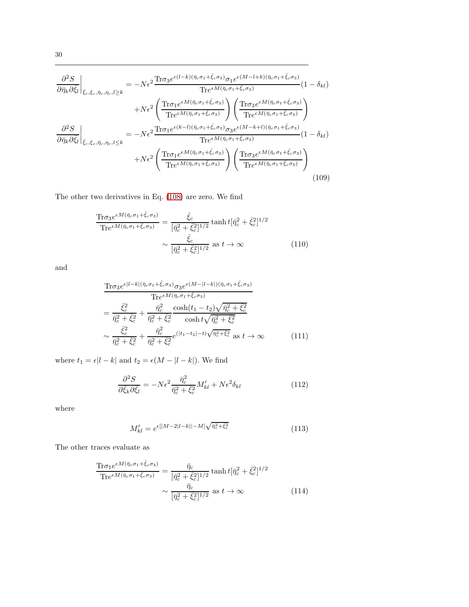$$
\frac{\partial^2 S}{\partial \bar{\eta}_k \partial \bar{\xi}_l} \Big|_{\bar{\xi}_c, \xi_c, \bar{\eta}_c, \eta_c, l \ge k} = -N\epsilon^2 \frac{\text{Tr}\sigma_3 e^{\epsilon(l-k)(\bar{\eta}_c \sigma_1 + \bar{\xi}_c \sigma_3)}\sigma_1 e^{\epsilon(M-l+k)(\bar{\eta}_c \sigma_1 + \bar{\xi}_c \sigma_3)}}{\text{Tr}e^{tM(\bar{\eta}_c \sigma_1 + \bar{\xi}_c \sigma_3)}}(1 - \delta_{kl})
$$
\n
$$
+N\epsilon^2 \left(\frac{\text{Tr}\sigma_1 e^{\epsilon M(\bar{\eta}_c \sigma_1 + \bar{\xi}_c \sigma_3)}}{\text{Tr}e^{\epsilon M(\bar{\eta}_c \sigma_1 + \bar{\xi}_c \sigma_3)}}\right) \left(\frac{\text{Tr}\sigma_3 e^{\epsilon M(\bar{\eta}_c \sigma_1 + \bar{\xi}_c \sigma_3)}}{\text{Tr}e^{\epsilon M(\bar{\eta}_c \sigma_1 + \bar{\xi}_c \sigma_3)}}\right)
$$
\n
$$
\frac{\partial^2 S}{\partial \bar{\eta}_k \partial \bar{\xi}_l} \Big|_{\bar{\xi}_c, \xi_c, \bar{\eta}_c, \eta_c, l \le k} = -N\epsilon^2 \frac{\text{Tr}\sigma_1 e^{\epsilon(k-l)(\bar{\eta}_c \sigma_1 + \bar{\xi}_c \sigma_3)}\sigma_3 e^{\epsilon(M-k+l)(\bar{\eta}_c \sigma_1 + \bar{\xi}_c \sigma_3)}}{\text{Tr}e^{tM(\bar{\eta}_c \sigma_1 + \bar{\xi}_c \sigma_3)}}(1 - \delta_{kl})
$$
\n
$$
+N\epsilon^2 \left(\frac{\text{Tr}\sigma_1 e^{\epsilon M(\bar{\eta}_c \sigma_1 + \bar{\xi}_c \sigma_3)}}{\text{Tr}e^{\epsilon M(\bar{\eta}_c \sigma_1 + \bar{\xi}_c \sigma_3)}}\right) \left(\frac{\text{Tr}\sigma_3 e^{\epsilon M(\bar{\eta}_c \sigma_1 + \bar{\xi}_c \sigma_3)}}{\text{Tr}e^{\epsilon M(\bar{\eta}_c \sigma_1 + \bar{\xi}_c \sigma_3)}}\right)
$$
\n(109)

The other two derivatives in Eq. [\(108\)](#page-28-0) are zero. We find

$$
\frac{\text{Tr}\sigma_3 e^{\epsilon M(\bar{\eta}_c \sigma_1 + \bar{\xi}_c \sigma_3)}}{\text{Tr}e^{\epsilon M(\bar{\eta}_c \sigma_1 + \bar{\xi}_c \sigma_3)}} = \frac{\bar{\xi}_c}{[\bar{\eta}_c^2 + \bar{\xi}_c^2]^{1/2}} \tanh t [\bar{\eta}_c^2 + \bar{\xi}_c^2]^{1/2}
$$
\n
$$
\sim \frac{\bar{\xi}_c}{[\bar{\eta}_c^2 + \bar{\xi}_c^2]^{1/2}} \text{ as } t \to \infty \tag{110}
$$

and

$$
\frac{\text{Tr}\sigma_{3}e^{\epsilon|l-k|(\bar{\eta}_{c}\sigma_{1}+\bar{\xi}_{c}\sigma_{3})}\sigma_{3}e^{\epsilon(M-|l-k|)(\bar{\eta}_{c}\sigma_{1}+\bar{\xi}_{c}\sigma_{3})}}{\text{Tr}e^{\epsilon M(\bar{\eta}_{c}\sigma_{1}+\bar{\xi}_{c}\sigma_{3})}}\n= \frac{\bar{\xi}_{c}^{2}}{\bar{\eta}_{c}^{2}+\bar{\xi}_{c}^{2}} + \frac{\bar{\eta}_{c}^{2}}{\bar{\eta}_{c}^{2}+\bar{\xi}_{c}^{2}} \frac{\cosh(t_{1}-t_{2})\sqrt{\bar{\eta}_{c}^{2}+\bar{\xi}_{c}^{2}}}{\cosh t\sqrt{\bar{\eta}_{c}^{2}+\bar{\xi}_{c}^{2}}} \n\sim \frac{\bar{\xi}_{c}^{2}}{\bar{\eta}_{c}^{2}+\bar{\xi}_{c}^{2}} + \frac{\bar{\eta}_{c}^{2}}{\bar{\eta}_{c}^{2}+\bar{\xi}_{c}^{2}} e^{(|t_{1}-t_{2}|-t)\sqrt{\bar{\eta}_{c}^{2}+\bar{\xi}_{c}^{2}}} \text{ as } t \to \infty
$$
\n(111)

where  $t_1 = \epsilon |l - k|$  and  $t_2 = \epsilon (M - |l - k|)$ . We find

$$
\frac{\partial^2 S}{\partial \bar{\xi}_k \partial \bar{\xi}_l} = -N\epsilon^2 \frac{\bar{\eta}_c^2}{\bar{\eta}_c^2 + \bar{\xi}_c^2} M'_{kl} + N\epsilon^2 \delta_{kl}
$$
(112)

where

$$
M'_{kl} = e^{\epsilon[|M-2|l-k||-M]}\sqrt{\bar{\eta}_c^2 + \bar{\xi}_c^2}
$$
\n(113)

The other traces evaluate as

$$
\frac{\text{Tr}\sigma_1 e^{\epsilon M(\bar{\eta}_c \sigma_1 + \bar{\xi}_c \sigma_3)}}{\text{Tr}e^{\epsilon M(\bar{\eta}_c \sigma_1 + \bar{\xi}_c \sigma_3)}} = \frac{\bar{\eta}_c}{[\bar{\eta}_c^2 + \bar{\xi}_c^2]^{1/2}} \tanh t [\bar{\eta}_c^2 + \bar{\xi}_c^2]^{1/2}
$$
\n
$$
\sim \frac{\bar{\eta}_c}{[\bar{\eta}_c^2 + \bar{\xi}_c^2]^{1/2}} \text{ as } t \to \infty \tag{114}
$$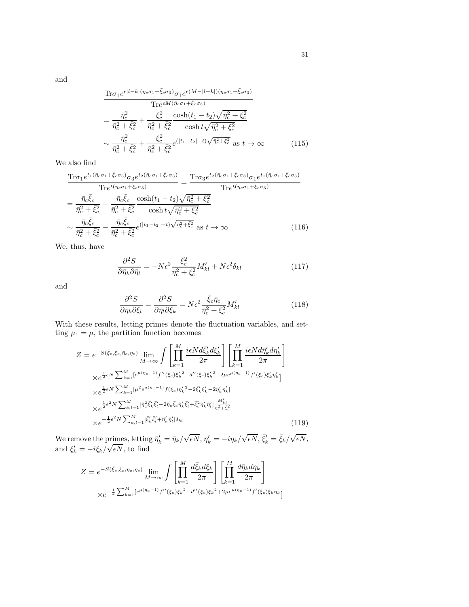and

$$
\frac{\text{Tr}\sigma_1 e^{\epsilon|l-k|(\bar{\eta}_c\sigma_1+\bar{\xi}_c\sigma_3)}\sigma_1 e^{\epsilon(M-|l-k|)(\bar{\eta}_c\sigma_1+\bar{\xi}_c\sigma_3)}}{\text{Tr}e^{\epsilon M(\bar{\eta}_c\sigma_1+\bar{\xi}_c\sigma_3)}}\n=\frac{\bar{\eta}_c^2}{\bar{\eta}_c^2+\bar{\xi}_c^2}+\frac{\xi_c^2}{\bar{\eta}_c^2+\bar{\xi}_c^2}\frac{\cosh(t_1-t_2)\sqrt{\bar{\eta}_c^2+\bar{\xi}_c^2}}{\cosh t\sqrt{\bar{\eta}_c^2+\bar{\xi}_c^2}}\n\sim\frac{\bar{\eta}_c^2}{\bar{\eta}_c^2+\bar{\xi}_c^2}+\frac{\xi_c^2}{\bar{\eta}_c^2+\bar{\xi}_c^2}e^{(|t_1-t_2|-t)\sqrt{\bar{\eta}_c^2+\bar{\xi}_c^2}}\text{ as }t\to\infty
$$
\n(115)

We also find

$$
\frac{\text{Tr}\sigma_1 e^{t_1(\bar{\eta}_c\sigma_1 + \bar{\xi}_c\sigma_3)}\sigma_3 e^{t_2(\bar{\eta}_c\sigma_1 + \bar{\xi}_c\sigma_3)}}{\text{Tr}e^{t(\bar{\eta}_c\sigma_1 + \bar{\xi}_c\sigma_3)}} = \frac{\text{Tr}\sigma_3 e^{t_2(\bar{\eta}_c\sigma_1 + \bar{\xi}_c\sigma_3)}\sigma_1 e^{t_1(\bar{\eta}_c\sigma_1 + \bar{\xi}_c\sigma_3)}}{\text{Tr}e^{t(\bar{\eta}_c\sigma_1 + \bar{\xi}_c\sigma_3)}} = \frac{\bar{\eta}_c \bar{\xi}_c}{\bar{\eta}_c^2 + \bar{\xi}_c^2} - \frac{\bar{\eta}_c \bar{\xi}_c}{\bar{\eta}_c^2 + \bar{\xi}_c^2} \frac{\cosh(t_1 - t_2)\sqrt{\bar{\eta}_c^2 + \bar{\xi}_c^2}}{\cosh t \sqrt{\bar{\eta}_c^2 + \bar{\xi}_c^2}} = \frac{\bar{\eta}_c \bar{\xi}_c}{\bar{\eta}_c^2 + \bar{\xi}_c^2} - \frac{\bar{\eta}_c \bar{\xi}_c}{\bar{\eta}_c^2 + \bar{\xi}_c^2} e^{(|t_1 - t_2| - t)\sqrt{\bar{\eta}_c^2 + \bar{\xi}_c^2}} \text{ as } t \to \infty \tag{116}
$$

We, thus, have

$$
\frac{\partial^2 S}{\partial \bar{\eta}_k \partial \bar{\eta}_l} = -N\epsilon^2 \frac{\bar{\xi}_c^2}{\bar{\eta}_c^2 + \bar{\xi}_c^2} M'_{kl} + N\epsilon^2 \delta_{kl} \tag{117}
$$

and

$$
\frac{\partial^2 S}{\partial \bar{\eta}_k \partial \bar{\xi}_l} = \frac{\partial^2 S}{\partial \bar{\eta}_l \partial \bar{\xi}_k} = N \epsilon^2 \frac{\bar{\xi}_c \bar{\eta}_c}{\bar{\eta}_c^2 + \bar{\xi}_c^2} M'_{kl} \tag{118}
$$

With these results, letting primes denote the fluctuation variables, and setting  $\mu_1 = \mu$ , the partition function becomes

$$
Z = e^{-S(\bar{\xi}_c, \xi_c, \bar{\eta}_c, \eta_c)} \lim_{M \to \infty} \int \left[ \prod_{k=1}^M \frac{i\epsilon N d\bar{\xi}'_k d\xi'_k}{2\pi} \right] \left[ \prod_{k=1}^M \frac{i\epsilon N d\bar{\eta}'_k d\eta'_k}{2\pi} \right]
$$
  
\n
$$
\times e^{\frac{1}{2}\epsilon N} \sum_{k=1}^M \left[ e^{\mu(\eta_c - 1)} f''(\xi_c) \xi'_k^2 - d''(\xi_c) \xi'_k^2 + 2\mu e^{\mu(\eta_c - 1)} f'(\xi_c) \xi'_k \eta'_k \right]
$$
  
\n
$$
\times e^{\frac{1}{2}\epsilon N} \sum_{k=1}^M \left[ \mu^2 e^{\mu(\eta_c - 1)} f(\xi_c) \eta'_k^2 - 2\bar{\xi}'_k \xi'_k - 2\bar{\eta}'_k \eta'_k \right]
$$
  
\n
$$
\times e^{\frac{1}{2}\epsilon^2 N} \sum_{k,l=1}^M \left[ \bar{\eta}_c^2 \bar{\xi}'_k \bar{\xi}'_l - 2\bar{\eta}_c \bar{\xi}_c \bar{\eta}'_k \bar{\xi}'_l + \bar{\xi}_c^2 \bar{\eta}'_k \bar{\eta}'_l \right] \frac{M'_{kl}}{\bar{\eta}_c^2 + \bar{\xi}_c^2}
$$
  
\n
$$
\times e^{-\frac{1}{2}\epsilon^2 N} \sum_{k,l=1}^M \left[ \bar{\xi}'_k \bar{\xi}'_l + \bar{\eta}'_k \bar{\eta}'_l \right] \delta_{kl}
$$
  
\n(119)

We remove the primes, letting  $\bar{\eta}'_k = \bar{\eta}_k / \sqrt{\epsilon N}$ ,  $\eta'_k = -i\eta_k / \sqrt{\epsilon N}$ ,  $\bar{\xi}'_k = \bar{\xi}_k / \sqrt{\epsilon N}$ , and  $\xi'_k = -i\xi_k/\sqrt{\epsilon N}$ , to find

$$
Z = e^{-S(\bar{\xi}_c, \xi_c, \bar{\eta}_c, \eta_c)} \lim_{M \to \infty} \int \left[ \prod_{k=1}^M \frac{d\bar{\xi}_k d\xi_k}{2\pi} \right] \left[ \prod_{k=1}^M \frac{d\bar{\eta}_k d\eta_k}{2\pi} \right] \times e^{-\frac{1}{2} \sum_{k=1}^M [e^{\mu(\eta_c - 1)} f'(\xi_c) \xi_k^2 - d'(\xi_c) \xi_k^2 + 2\mu e^{\mu(\eta_c - 1)} f'(\xi_c) \xi_k \eta_k} ]
$$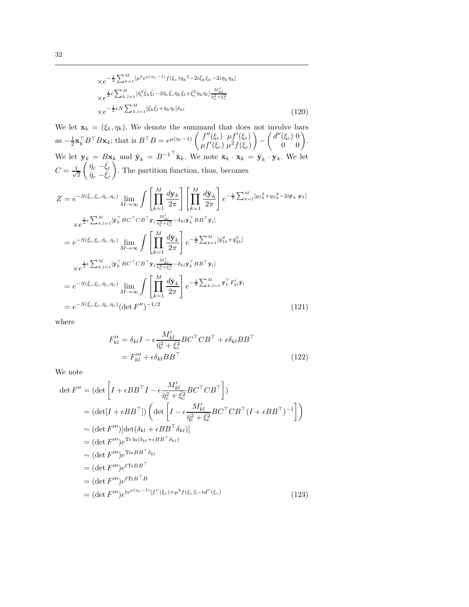$$
\times e^{-\frac{1}{2}\sum_{k=1}^{M}[\mu^{2}e^{\mu(\eta_{c}-1)}f(\xi_{c})\eta_{k}^{2}-2i\xi_{k}\xi_{k}-2i\bar{\eta}_{k}\eta_{k}]}
$$
  
\n
$$
\times e^{\frac{1}{2}\epsilon\sum_{k,l=1}^{M}[\bar{\eta}_{c}^{2}\bar{\xi}_{k}\bar{\xi}_{l}-2\bar{\eta}_{c}\bar{\xi}_{c}\bar{\eta}_{k}\bar{\xi}_{l}+\bar{\xi}_{c}^{2}\bar{\eta}_{k}\bar{\eta}_{l}]\frac{M'_{kl}}{\bar{\eta}_{c}^{2}+\bar{\xi}_{c}^{2}}}
$$
  
\n
$$
\times e^{-\frac{1}{2}\epsilon N\sum_{k,l=1}^{M}[\bar{\xi}_{k}\bar{\xi}_{l}+\bar{\eta}_{k}\bar{\eta}_{l}]\delta_{kl}}
$$
\n(120)

We let  $\mathbf{x}_k = (\xi_k, \eta_k)$ . We denote the summand that does not involve bars as  $-\frac{1}{2}\mathbf{x}_{k}^{\top}B^{\top}B\mathbf{x}_{k}$ ; that is  $B^{\top}B = e^{\mu(\eta_{c}-1)}\left(\begin{array}{cc}f''(\xi_{c}) & \mu f'(\xi_{c})\\uf'(\xi_{c}) & u^{2}f(\xi_{c})\end{array}\right)$  $\mu f'(\xi_c)\mu^2 f(\xi_c)$  $\setminus$ −  $\left(\begin{array}{cc} d''(\xi_c) & 0\\ 0 & 0 \end{array}\right).$ We let  $\mathbf{y}_k = B\mathbf{x}_k$  and  $\bar{\mathbf{y}}_k = B^{-1} \bar{\mathbf{x}}_k$ . We note  $\bar{\mathbf{x}}_k \cdot \mathbf{x}_k = \bar{\mathbf{y}}_k \cdot \mathbf{y}_k$ . We let  $C=\frac{1}{\sqrt{2}}$ 2  $\int \bar{\eta}_c - \bar{\xi}_c$  $\bar{\eta}_c - \bar{\bar{\xi}}_c$ . The partition function, thus, becomes

<span id="page-31-0"></span>
$$
Z = e^{-S(\bar{\xi}_c, \xi_c, \bar{\eta}_c, \eta_c)} \lim_{M \to \infty} \int \left[ \prod_{k=1}^{M} \frac{dy_k}{2\pi} \right] \left[ \prod_{k=1}^{M} \frac{d\bar{y}_k}{2\pi} \right] e^{-\frac{1}{2} \sum_{k=1}^{M} [y_1_k^2 + y_2_k^2 - 2i\bar{y}_k \cdot y_k]}
$$
  
\n
$$
\times e^{\frac{1}{2}\epsilon \sum_{k,l=1}^{M} [\bar{y}_k^{\top} B C^{\top} C B^{\top} \bar{y}_l \frac{M'_{kl}}{\bar{\eta}_c^2 + \bar{\xi}_c^2} - \delta_{kl} \bar{y}_k^{\top} B B^{\top} \bar{y}_l]}
$$
  
\n
$$
= e^{-S(\bar{\xi}_c, \xi_c, \bar{\eta}_c, \eta_c)} \lim_{M \to \infty} \int \left[ \prod_{k=1}^{M} \frac{d\bar{y}_k}{2\pi} \right] e^{-\frac{1}{2} \sum_{k=1}^{M} [\bar{y}_k^2 + \bar{y}_2^2]}
$$
  
\n
$$
\times e^{\frac{1}{2}\epsilon \sum_{k,l=1}^{M} [\bar{y}_k^{\top} B C^{\top} C B^{\top} \bar{y}_l \frac{M'_{kl}}{\bar{\eta}_c^2 + \bar{\xi}_c^2} - \delta_{kl} \bar{y}_k^{\top} B B^{\top} \bar{y}_l]}
$$
  
\n
$$
= e^{-S(\bar{\xi}_c, \xi_c, \bar{\eta}_c, \eta_c)} \lim_{M \to \infty} \int \left[ \prod_{k=1}^{M} \frac{d\bar{y}_k}{2\pi} \right] e^{-\frac{1}{2} \sum_{k,l=1}^{M} \bar{y}_k^{\top} F'_{kl} \bar{y}_l}
$$
  
\n
$$
= e^{-S(\bar{\xi}_c, \xi_c, \bar{\eta}_c, \eta_c)} (\det F'')^{-1/2}
$$
  
\n(121)

where

$$
F_{kl}^{\prime\prime} = \delta_{kl}I - \epsilon \frac{M_{kl}^{\prime}}{\bar{\eta}_c^2 + \bar{\xi}_c^2} BC^{\top} C B^{\top} + \epsilon \delta_{kl} BB^{\top}
$$

$$
= F_{kl}^{\prime\prime\prime} + \epsilon \delta_{kl} BB^{\top}
$$
(122)

<span id="page-31-1"></span>We note

$$
\det F'' = (\det \left[ I + \epsilon BB^{\top} I - \epsilon \frac{M'_{kl}}{\bar{\eta}_c^2 + \bar{\xi}_c^2} BC^{\top} C B^{\top} \right])
$$
  
\n
$$
= (\det [I + \epsilon BB^{\top}]) \left( \det \left[ I - \epsilon \frac{M'_{kl}}{\bar{\eta}_c^2 + \bar{\xi}_c^2} BC^{\top} C B^{\top} (I + \epsilon BB^{\top})^{-1} \right] \right)
$$
  
\n
$$
\sim (\det F''') [\det (\delta_{kl} + \epsilon BB^{\top} \delta_{kl})]
$$
  
\n
$$
= (\det F''') e^{\text{Tr} \ln(\delta_{kl} + \epsilon BB^{\top} \delta_{kl})}
$$
  
\n
$$
\sim (\det F''') e^{\text{Tr} \epsilon BB^{\top} \delta_{kl}}
$$
  
\n
$$
= (\det F''') e^{\text{Tr} \epsilon BB^{\top} \delta_{kl}}
$$
  
\n
$$
= (\det F''') e^{\text{Tr} \epsilon B^{\top} B}
$$
  
\n
$$
= (\det F''') e^{\text{tr} \epsilon \mu (\eta_c - 1)} [f''(\xi_c) + \mu^2 f(\xi_c)] - t d''(\xi_c)
$$
 (123)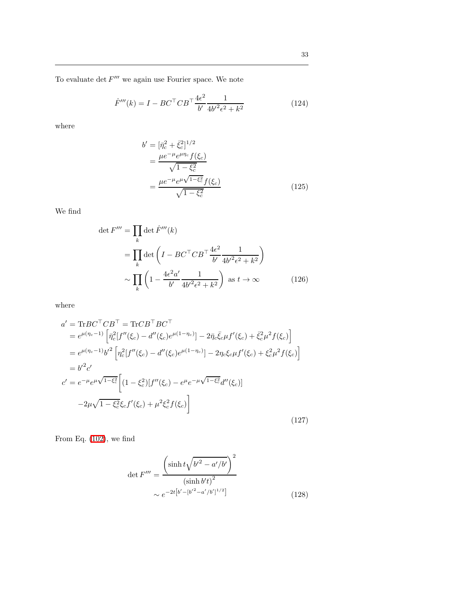To evaluate  $\det F'''$  we again use Fourier space. We note

$$
\hat{F}'''(k) = I - BC^{\top}CB^{\top} \frac{4\epsilon^2}{b'} \frac{1}{4b'^2 \epsilon^2 + k^2}
$$
\n(124)

where

$$
b' = [\bar{\eta}_c^2 + \bar{\xi}_c^2]^{1/2}
$$
  
= 
$$
\frac{\mu e^{-\mu} e^{\mu \eta_c} f(\xi_c)}{\sqrt{1 - \xi_c^2}}
$$
  
= 
$$
\frac{\mu e^{-\mu} e^{\mu} \sqrt{1 - \xi_c^2} f(\xi_c)}{\sqrt{1 - \xi_c^2}}
$$
(125)

We find

$$
\det F''' = \prod_{k} \det \hat{F}'''(k)
$$
  
= 
$$
\prod_{k} \det \left( I - BC^{\top}CB^{\top} \frac{4\epsilon^{2}}{b'} \frac{1}{4b'^{2}\epsilon^{2} + k^{2}} \right)
$$
  

$$
\sim \prod_{k} \left( 1 - \frac{4\epsilon^{2}a'}{b'} \frac{1}{4b'^{2}\epsilon^{2} + k^{2}} \right) \text{ as } t \to \infty
$$
 (126)

<span id="page-32-0"></span>where

$$
a' = \text{Tr} BC^{\top} C B^{\top} = \text{Tr} C B^{\top} B C^{\top}
$$
  
\n
$$
= e^{\mu(\eta_c - 1)} \left[ \bar{\eta}_c^2 [f''(\xi_c) - d''(\xi_c) e^{\mu(1 - \eta_c)}] - 2 \bar{\eta}_c \bar{\xi}_c \mu f'(\xi_c) + \bar{\xi}_c^2 \mu^2 f(\xi_c) \right]
$$
  
\n
$$
= e^{\mu(\eta_c - 1)} b'^2 \left[ \eta_c^2 [f''(\xi_c) - d''(\xi_c) e^{\mu(1 - \eta_c)}] - 2 \eta_c \xi_c \mu f'(\xi_c) + \xi_c^2 \mu^2 f(\xi_c) \right]
$$
  
\n
$$
= b'^2 c'
$$
  
\n
$$
c' = e^{-\mu} e^{\mu \sqrt{1 - \xi_c^2}} \left[ (1 - \xi_c^2) [f''(\xi_c) - e^{\mu} e^{-\mu \sqrt{1 - \xi_c^2}} d''(\xi_c) ] - 2\mu \sqrt{1 - \xi_c^2} \xi_c f'(\xi_c) + \mu^2 \xi_c^2 f(\xi_c) \right]
$$
  
\n(127)

<span id="page-32-1"></span>From Eq. [\(102\)](#page-26-1), we find

$$
\det F''' = \frac{\left(\sinh t \sqrt{{b'}^2 - a'/b'}\right)^2}{\left(\sinh b't\right)^2} \sim e^{-2t \left[b' - \left[b'^2 - a'/b'\right]^{1/2}\right]}
$$
(128)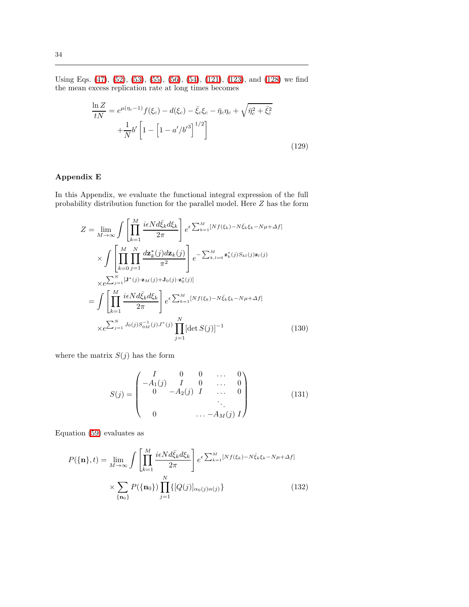<span id="page-33-0"></span>Using Eqs. [\(47\)](#page-12-2), [\(52\)](#page-13-0), [\(53\)](#page-13-1), [\(55\)](#page-13-2), [\(56\)](#page-14-1), [\(54\)](#page-13-3), [\(121\)](#page-31-0), [\(123\)](#page-31-1), and [\(128\)](#page-32-1) we find the mean excess replication rate at long times becomes

$$
\frac{\ln Z}{tN} = e^{\mu(\eta_c - 1)} f(\xi_c) - d(\xi_c) - \bar{\xi}_c \xi_c - \bar{\eta}_c \eta_c + \sqrt{\bar{\eta}_c^2 + \bar{\xi}_c^2} + \frac{1}{N} b' \left[ 1 - \left[ 1 - a'/b'^3 \right]^{1/2} \right]
$$
\n(129)

# Appendix E

In this Appendix, we evaluate the functional integral expression of the full probability distribution function for the parallel model. Here Z has the form

$$
Z = \lim_{M \to \infty} \int \left[ \prod_{k=1}^{M} \frac{i\epsilon N d\bar{\xi}_{k} d\xi_{k}}{2\pi} \right] e^{\epsilon \sum_{k=1}^{M} [Nf(\xi_{k}) - N\bar{\xi}_{k}\xi_{k} - N\mu + \Delta f]} \times \int \left[ \prod_{k=0}^{M} \prod_{j=1}^{N} \frac{dz_{k}^{*}(j) dz_{k}(j)}{\pi^{2}} \right] e^{-\sum_{k,l=0}^{M} \mathbf{z}_{k}^{*}(j) S_{kl}(j) \mathbf{z}_{l}(j)} \times e^{\sum_{j=1}^{N} [J^{*}(j) \cdot \mathbf{z}_{M}(j) + \mathbf{J}_{0}(j) \cdot \mathbf{z}_{0}^{*}(j)]} = \int \left[ \prod_{k=1}^{M} \frac{i\epsilon N d\bar{\xi}_{k} d\xi_{k}}{2\pi} \right] e^{\epsilon \sum_{k=1}^{M} [Nf(\xi_{k}) - N\bar{\xi}_{k}\xi_{k} - N\mu + \Delta f]} \times e^{\sum_{j=1}^{N} J_{0}(j) S_{0M}^{-1}(j) J^{*}(j)} \prod_{j=1}^{N} [\det S(j)]^{-1}
$$
(130)

where the matrix  $S(j)$  has the form

$$
S(j) = \begin{pmatrix} I & 0 & 0 & \dots & 0 \\ -A_1(j) & I & 0 & \dots & 0 \\ 0 & -A_2(j) & I & \dots & 0 \\ & & & \ddots & \\ 0 & & & \dots & -A_M(j) & I \end{pmatrix}
$$
(131)

Equation [\(59\)](#page-15-1) evaluates as

$$
P(\{\mathbf{n}\},t) = \lim_{M \to \infty} \int \left[ \prod_{k=1}^{M} \frac{i\epsilon N d\xi_k d\xi_k}{2\pi} \right] e^{\epsilon \sum_{k=1}^{M} [Nf(\xi_k) - N\bar{\xi}_k \xi_k - N\mu + \Delta f]}
$$

$$
\times \sum_{\{\mathbf{n}_0\}} P(\{\mathbf{n}_0\}) \prod_{j=1}^{N} \{[Q(j)]_{\alpha_0(j)\alpha(j)}\}
$$
(132)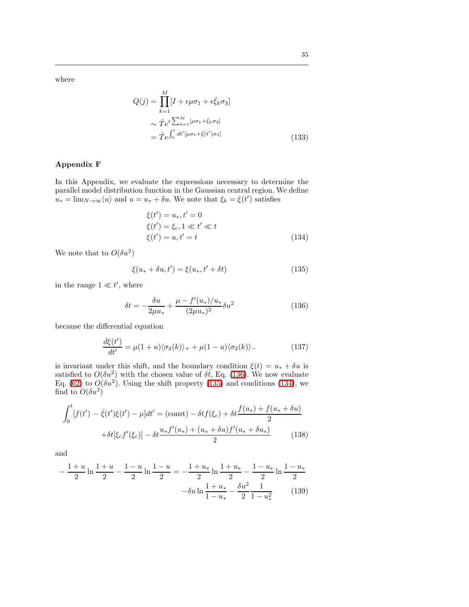where

$$
Q(j) = \prod_{k=1}^{M} [I + \epsilon \mu \sigma_1 + \epsilon \bar{\xi}_k \sigma_3]
$$
  
\n
$$
\sim \hat{T} e^{\epsilon \sum_{k=1}^{M} [\mu \sigma_1 + \bar{\xi}_k \sigma_3]}
$$
  
\n
$$
= \hat{T} e^{\int_0^t dt' [\mu \sigma_1 + \bar{\xi}(t') \sigma_3]}
$$
\n(133)

# Appendix F

<span id="page-34-2"></span>In this Appendix, we evaluate the expressions necessary to determine the parallel model distribution function in the Gaussian central region. We define  $u_* = \lim_{N \to \infty} \langle u \rangle$  and  $u = u_* + \delta u$ . We note that  $\xi_k = \xi(t')$  satisfies

$$
\xi(t') = u_*, t' = 0
$$
  
\n
$$
\xi(t') = \xi_c, 1 \ll t' \ll t
$$
  
\n
$$
\xi(t') = u, t' = t
$$
\n(134)

<span id="page-34-1"></span>We note that to  $O(\delta u^2)$ 

$$
\xi(u_* + \delta u, t') = \xi(u_*, t' + \delta t)
$$
\n(135)

<span id="page-34-0"></span>in the range  $1 \ll t'$ , where

$$
\delta t = -\frac{\delta u}{2\mu u_*} + \frac{\mu - f'(u_*)/u_*}{(2\mu u_*)^2} \delta u^2 \tag{136}
$$

because the differential equation

$$
\frac{d\xi(t')}{dt'} = \mu(1+u)\langle\sigma_2(k)\rangle_+ + \mu(1-u)\langle\sigma_2(k)\rangle_-\tag{137}
$$

is invariant under this shift, and the boundary condition  $\xi(t) = u_* + \delta u$  is satisfied to  $O(\delta u^2)$  with the chosen value of  $\delta t$ , Eq. [\(136\)](#page-34-0). We now evaluate Eq. [\(62\)](#page-16-0) to  $O(\delta u^2)$ . Using the shift property [\(135\)](#page-34-1) and conditions [\(134\)](#page-34-2), we find to  $O(\delta u^2)$ 

$$
\int_0^t [f(t') - \bar{\xi}(t')\xi(t') - \mu]dt' = (\text{const}) - \delta t f(\xi_c) + \delta t \frac{f(u_*) + f(u_* + \delta u)}{2}
$$

$$
+ \delta t[\xi_c f'(\xi_c)] - \delta t \frac{u_* f'(u_*) + (u_* + \delta u) f'(u_* + \delta u_*)}{2}
$$
(138)

<span id="page-34-3"></span>and

$$
-\frac{1+u}{2}\ln\frac{1+u}{2} - \frac{1-u}{2}\ln\frac{1-u}{2} = -\frac{1+u_*}{2}\ln\frac{1+u_*}{2} - \frac{1-u_*}{2}\ln\frac{1-u_*}{2} - \delta u\ln\frac{1+u_*}{1-u_*} - \frac{\delta u^2}{2}\frac{1}{1-u_*^2}
$$
(139)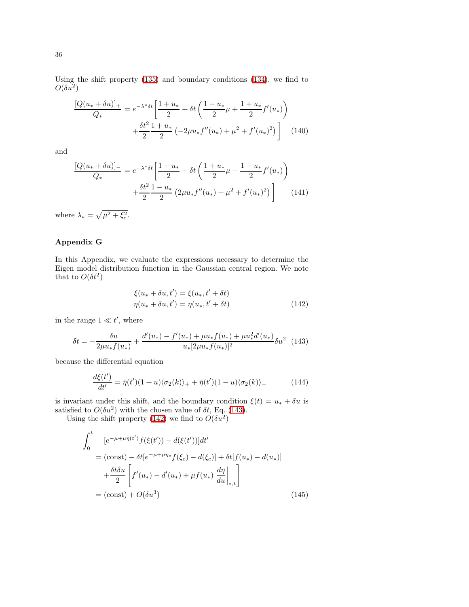<span id="page-35-0"></span>Using the shift property [\(135\)](#page-34-1) and boundary conditions [\(134\)](#page-34-2), we find to  $O(\delta u^2)$ 

$$
\frac{[Q(u_* + \delta u)]_+}{Q_*} = e^{-\lambda^* \delta t} \left[ \frac{1 + u_*}{2} + \delta t \left( \frac{1 - u_*}{2} \mu + \frac{1 + u_*}{2} f'(u_*) \right) + \frac{\delta t^2}{2} \frac{1 + u_*}{2} \left( -2\mu u_* f''(u_*) + \mu^2 + f'(u_*)^2 \right) \right] \tag{140}
$$

<span id="page-35-1"></span>and

$$
\frac{[Q(u_* + \delta u)]_+}{Q_*} = e^{-\lambda^* \delta t} \left[ \frac{1 - u_*}{2} + \delta t \left( \frac{1 + u_*}{2} \mu - \frac{1 - u_*}{2} f'(u_*) \right) + \frac{\delta t^2}{2} \frac{1 - u_*}{2} \left( 2\mu u_* f''(u_*) + \mu^2 + f'(u_*)^2 \right) \right]
$$
(141)

where  $\lambda_* = \sqrt{\mu^2 + \bar{\xi}_c^2}$ .

# Appendix G

In this Appendix, we evaluate the expressions necessary to determine the Eigen model distribution function in the Gaussian central region. We note that to  $O(\delta t^2)$ 

$$
\xi(u_* + \delta u, t') = \xi(u_*, t' + \delta t)
$$
  

$$
\eta(u_* + \delta u, t') = \eta(u_*, t' + \delta t)
$$
 (142)

<span id="page-35-3"></span>in the range  $1 \ll t'$ , where

$$
\delta t = -\frac{\delta u}{2\mu u_* f(u_*)} + \frac{d'(u_*) - f'(u_*) + \mu u_* f(u_*) + \mu u_*^2 d'(u_*)}{u_* [2\mu u_* f(u_*)]^2} \delta u^2
$$
(143)

<span id="page-35-2"></span>because the differential equation

$$
\frac{d\xi(t')}{dt'} = \bar{\eta}(t')(1+u)\langle\sigma_2(k)\rangle_+ + \bar{\eta}(t')(1-u)\langle\sigma_2(k)\rangle_-\tag{144}
$$

is invariant under this shift, and the boundary condition  $\xi(t) = u_* + \delta u$  is satisfied to  $O(\delta u^2)$  with the chosen value of  $\delta t$ , Eq. [\(143\)](#page-35-2).

Using the shift property [\(142\)](#page-35-3) we find to  $O(\delta u^2)$ 

$$
\int_{0}^{t} [e^{-\mu + \mu \eta(t')} f(\xi(t')) - d(\xi(t'))] dt'
$$
\n
$$
= (\text{const}) - \delta t [e^{-\mu + \mu \eta_c} f(\xi_c) - d(\xi_c)] + \delta t [f(u_*) - d(u_*)]
$$
\n
$$
+ \frac{\delta t \delta u}{2} \left[ f'(u_*) - d'(u_*) + \mu f(u_*) \left. \frac{d\eta}{du} \right|_{*,t} \right]
$$
\n
$$
= (\text{const}) + O(\delta u^3)
$$
\n(145)